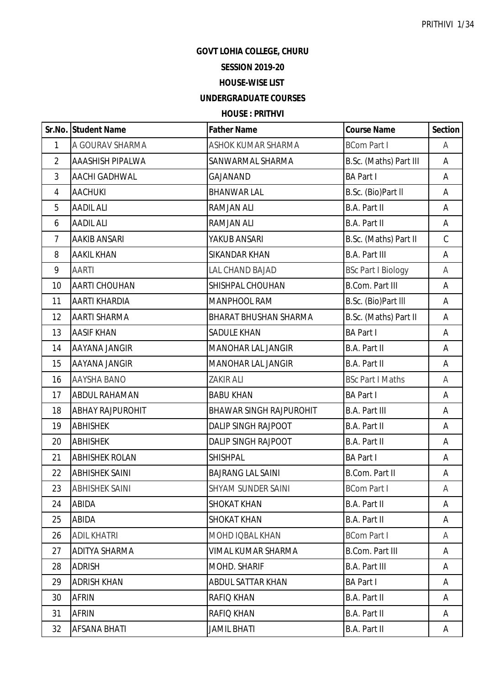### **GOVT LOHIA COLLEGE, CHURU**

## **SESSION 2019-20**

### **HOUSE-WISE LIST**

# **UNDERGRADUATE COURSES**

## **HOUSE : PRITHVI**

|                | Sr.No. Student Name     | <b>Father Name</b>             | <b>Course Name</b>        | <b>Section</b> |
|----------------|-------------------------|--------------------------------|---------------------------|----------------|
| $\mathbf{1}$   | A GOURAV SHARMA         | ASHOK KUMAR SHARMA             | <b>BCom Part I</b>        | A              |
| $\overline{2}$ | <b>AAASHISH PIPALWA</b> | SANWARMAL SHARMA               | B.Sc. (Maths) Part III    | A              |
| 3              | AACHI GADHWAL           | GAJANAND                       | <b>BA Part I</b>          | Α              |
| $\overline{4}$ | <b>AACHUKI</b>          | <b>BHANWAR LAL</b>             | B.Sc. (Bio)Part II        | A              |
| 5              | <b>AADIL ALI</b>        | <b>RAMJAN ALI</b>              | B.A. Part II              | A              |
| 6              | <b>AADIL ALI</b>        | <b>RAMJAN ALI</b>              | <b>B.A. Part II</b>       | A              |
| $\overline{7}$ | <b>AAKIB ANSARI</b>     | YAKUB ANSARI                   | B.Sc. (Maths) Part II     | $\mathsf C$    |
| 8              | <b>AAKIL KHAN</b>       | <b>SIKANDAR KHAN</b>           | <b>B.A. Part III</b>      | A              |
| 9              | <b>AARTI</b>            | LAL CHAND BAJAD                | <b>BSc Part I Biology</b> | A              |
| 10             | AARTI CHOUHAN           | SHISHPAL CHOUHAN               | <b>B.Com. Part III</b>    | A              |
| 11             | AARTI KHARDIA           | <b>MANPHOOL RAM</b>            | B.Sc. (Bio)Part III       | Α              |
| 12             | <b>AARTI SHARMA</b>     | <b>BHARAT BHUSHAN SHARMA</b>   | B.Sc. (Maths) Part II     | A              |
| 13             | <b>AASIF KHAN</b>       | <b>SADULE KHAN</b>             | <b>BA Part I</b>          | A              |
| 14             | AAYANA JANGIR           | <b>MANOHAR LAL JANGIR</b>      | B.A. Part II              | A              |
| 15             | AAYANA JANGIR           | <b>MANOHAR LAL JANGIR</b>      | B.A. Part II              | A              |
| 16             | <b>AAYSHA BANO</b>      | <b>ZAKIR ALI</b>               | <b>BSc Part I Maths</b>   | A              |
| 17             | <b>ABDUL RAHAMAN</b>    | <b>BABU KHAN</b>               | <b>BA Part I</b>          | A              |
| 18             | <b>ABHAY RAJPUROHIT</b> | <b>BHAWAR SINGH RAJPUROHIT</b> | <b>B.A. Part III</b>      | A              |
| 19             | <b>ABHISHEK</b>         | <b>DALIP SINGH RAJPOOT</b>     | B.A. Part II              | A              |
| 20             | <b>ABHISHEK</b>         | DALIP SINGH RAJPOOT            | B.A. Part II              | A              |
| 21             | <b>ABHISHEK ROLAN</b>   | SHISHPAL                       | <b>BA Part I</b>          | Α              |
| 22             | <b>ABHISHEK SAINI</b>   | <b>BAJRANG LAL SAINI</b>       | <b>B.Com. Part II</b>     | A              |
| 23             | <b>ABHISHEK SAINI</b>   | SHYAM SUNDER SAINI             | <b>BCom Part I</b>        | Α              |
| 24             | ABIDA                   | <b>SHOKAT KHAN</b>             | B.A. Part II              | A              |
| 25             | ABIDA                   | <b>SHOKAT KHAN</b>             | B.A. Part II              | A              |
| 26             | <b>ADIL KHATRI</b>      | <b>MOHD IQBAL KHAN</b>         | <b>BCom Part I</b>        | A              |
| 27             | ADITYA SHARMA           | <b>VIMAL KUMAR SHARMA</b>      | <b>B.Com. Part III</b>    | A              |
| 28             | <b>ADRISH</b>           | <b>MOHD, SHARIF</b>            | <b>B.A. Part III</b>      | Α              |
| 29             | <b>ADRISH KHAN</b>      | ABDUL SATTAR KHAN              | <b>BA Part I</b>          | A              |
| 30             | <b>AFRIN</b>            | <b>RAFIQ KHAN</b>              | B.A. Part II              | A              |
| 31             | AFRIN                   | <b>RAFIQ KHAN</b>              | B.A. Part II              | A              |
| 32             | AFSANA BHATI            | <b>JAMIL BHATI</b>             | B.A. Part II              | A              |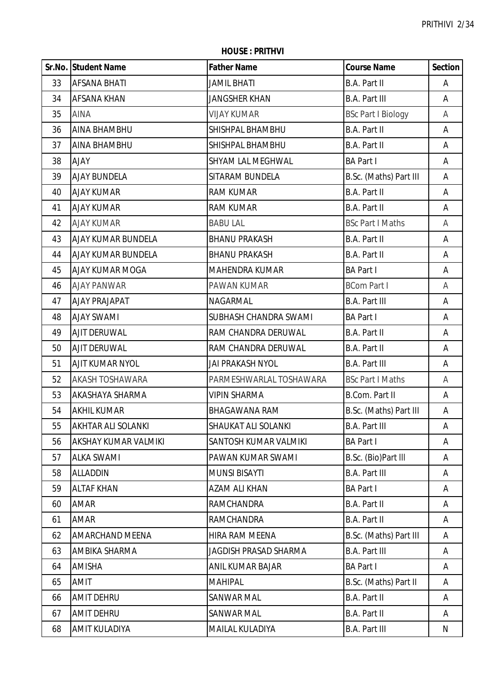**HOUSE : PRITHVI**

|    | Sr.No. Student Name       | <b>Father Name</b>           | <b>Course Name</b>        | <b>Section</b> |
|----|---------------------------|------------------------------|---------------------------|----------------|
| 33 | <b>AFSANA BHATI</b>       | <b>JAMIL BHATI</b>           | <b>B.A. Part II</b>       | A              |
| 34 | <b>AFSANA KHAN</b>        | <b>JANGSHER KHAN</b>         | <b>B.A. Part III</b>      | Α              |
| 35 | <b>AINA</b>               | <b>VIJAY KUMAR</b>           | <b>BSc Part I Biology</b> | Α              |
| 36 | <b>AINA BHAMBHU</b>       | SHISHPAL BHAMBHU             | B.A. Part II              | Α              |
| 37 | <b>AINA BHAMBHU</b>       | SHISHPAL BHAMBHU             | B.A. Part II              | A              |
| 38 | <b>AJAY</b>               | SHYAM LAL MEGHWAL            | <b>BA Part I</b>          | A              |
| 39 | <b>AJAY BUNDELA</b>       | SITARAM BUNDELA              | B.Sc. (Maths) Part III    | A              |
| 40 | <b>AJAY KUMAR</b>         | <b>RAM KUMAR</b>             | <b>B.A. Part II</b>       | A              |
| 41 | <b>AJAY KUMAR</b>         | <b>RAM KUMAR</b>             | B.A. Part II              | Α              |
| 42 | <b>AJAY KUMAR</b>         | <b>BABU LAL</b>              | <b>BSc Part I Maths</b>   | A              |
| 43 | <b>AJAY KUMAR BUNDELA</b> | <b>BHANU PRAKASH</b>         | B.A. Part II              | A              |
| 44 | <b>AJAY KUMAR BUNDELA</b> | <b>BHANU PRAKASH</b>         | B.A. Part II              | Α              |
| 45 | <b>AJAY KUMAR MOGA</b>    | <b>MAHENDRA KUMAR</b>        | <b>BA Part I</b>          | A              |
| 46 | <b>AJAY PANWAR</b>        | PAWAN KUMAR                  | <b>BCom Part I</b>        | Α              |
| 47 | <b>AJAY PRAJAPAT</b>      | NAGARMAL                     | <b>B.A. Part III</b>      | A              |
| 48 | <b>AJAY SWAMI</b>         | SUBHASH CHANDRA SWAMI        | <b>BA Part I</b>          | A              |
| 49 | <b>AJIT DERUWAL</b>       | RAM CHANDRA DERUWAL          | B.A. Part II              | A              |
| 50 | <b>AJIT DERUWAL</b>       | RAM CHANDRA DERUWAL          | <b>B.A. Part II</b>       | A              |
| 51 | AJIT KUMAR NYOL           | JAI PRAKASH NYOL             | <b>B.A. Part III</b>      | A              |
| 52 | <b>AKASH TOSHAWARA</b>    | PARMESHWARLAL TOSHAWARA      | <b>BSc Part I Maths</b>   | Α              |
| 53 | <b>AKASHAYA SHARMA</b>    | <b>VIPIN SHARMA</b>          | <b>B.Com. Part II</b>     | A              |
| 54 | <b>AKHIL KUMAR</b>        | <b>BHAGAWANA RAM</b>         | B.Sc. (Maths) Part III    | A              |
| 55 | <b>AKHTAR ALI SOLANKI</b> | <b>SHAUKAT ALI SOLANKI</b>   | <b>B.A. Part III</b>      | Α              |
| 56 | AKSHAY KUMAR VALMIKI      | SANTOSH KUMAR VALMIKI        | <b>BA Part I</b>          | A              |
| 57 | <b>ALKA SWAMI</b>         | PAWAN KUMAR SWAMI            | B.Sc. (Bio)Part III       | A              |
| 58 | <b>ALLADDIN</b>           | <b>MUNSI BISAYTI</b>         | <b>B.A. Part III</b>      | A              |
| 59 | <b>ALTAF KHAN</b>         | AZAM ALI KHAN                | <b>BA Part I</b>          | A              |
| 60 | <b>AMAR</b>               | RAMCHANDRA                   | B.A. Part II              | A              |
| 61 | AMAR                      | <b>RAMCHANDRA</b>            | <b>B.A. Part II</b>       | A              |
| 62 | <b>AMARCHAND MEENA</b>    | HIRA RAM MEENA               | B.Sc. (Maths) Part III    | A              |
| 63 | AMBIKA SHARMA             | <b>JAGDISH PRASAD SHARMA</b> | <b>B.A. Part III</b>      | A              |
| 64 | <b>AMISHA</b>             | ANIL KUMAR BAJAR             | <b>BA Part I</b>          | A              |
| 65 | <b>AMIT</b>               | <b>MAHIPAL</b>               | B.Sc. (Maths) Part II     | A              |
| 66 | <b>AMIT DEHRU</b>         | <b>SANWAR MAL</b>            | <b>B.A. Part II</b>       | A              |
| 67 | <b>AMIT DEHRU</b>         | SANWAR MAL                   | <b>B.A. Part II</b>       | A              |
| 68 | <b>AMIT KULADIYA</b>      | MAILAL KULADIYA              | <b>B.A. Part III</b>      | N              |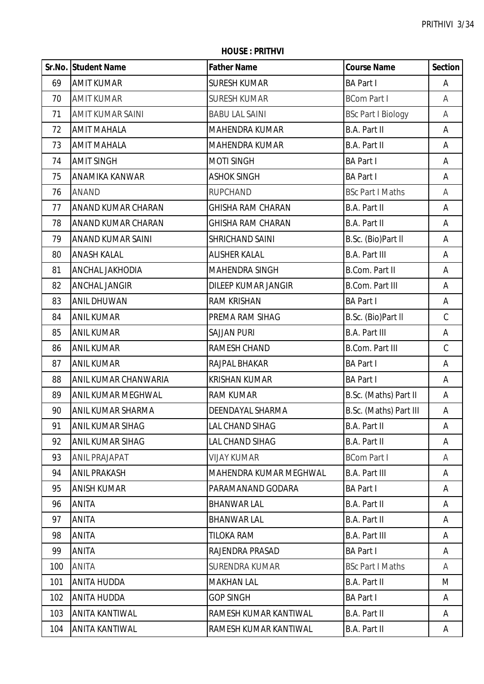**HOUSE : PRITHVI**

|     | Sr.No. Student Name     | <b>Father Name</b>            | <b>Course Name</b>        | <b>Section</b> |
|-----|-------------------------|-------------------------------|---------------------------|----------------|
| 69  | <b>AMIT KUMAR</b>       | <b>SURESH KUMAR</b>           | <b>BA Part I</b>          | A              |
| 70  | <b>AMIT KUMAR</b>       | <b>SURESH KUMAR</b>           | <b>BCom Part I</b>        | A              |
| 71  | AMIT KUMAR SAINI        | <b>BABU LAL SAINI</b>         | <b>BSc Part I Biology</b> | Α              |
| 72  | <b>AMIT MAHALA</b>      | <b>MAHENDRA KUMAR</b>         | B.A. Part II              | Α              |
| 73  | <b>AMIT MAHALA</b>      | <b>MAHENDRA KUMAR</b>         | <b>B.A. Part II</b>       | A              |
| 74  | <b>AMIT SINGH</b>       | <b>MOTI SINGH</b>             | <b>BA Part I</b>          | A              |
| 75  | ANAMIKA KANWAR          | <b>ASHOK SINGH</b>            | <b>BA Part I</b>          | A              |
| 76  | <b>ANAND</b>            | <b>RUPCHAND</b>               | <b>BSc Part I Maths</b>   | Α              |
| 77  | ANAND KUMAR CHARAN      | <b>GHISHA RAM CHARAN</b>      | B.A. Part II              | A              |
| 78  | ANAND KUMAR CHARAN      | <b>GHISHA RAM CHARAN</b>      | <b>B.A. Part II</b>       | A              |
| 79  | ANAND KUMAR SAINI       | SHRICHAND SAINI               | B.Sc. (Bio)Part II        | A              |
| 80  | <b>ANASH KALAL</b>      | <b>ALISHER KALAL</b>          | <b>B.A. Part III</b>      | A              |
| 81  | ANCHAL JAKHODIA         | <b>MAHENDRA SINGH</b>         | <b>B.Com. Part II</b>     | Α              |
| 82  | ANCHAL JANGIR           | <b>DILEEP KUMAR JANGIR</b>    | <b>B.Com. Part III</b>    | Α              |
| 83  | <b>ANIL DHUWAN</b>      | <b>RAM KRISHAN</b>            | <b>BA Part I</b>          | A              |
| 84  | <b>ANIL KUMAR</b>       | PREMA RAM SIHAG               | B.Sc. (Bio)Part II        | $\mathsf C$    |
| 85  | <b>ANIL KUMAR</b>       | <b>SAJJAN PURI</b>            | <b>B.A. Part III</b>      | Α              |
| 86  | <b>ANIL KUMAR</b>       | RAMESH CHAND                  | <b>B.Com. Part III</b>    | $\mathsf C$    |
| 87  | <b>ANIL KUMAR</b>       | RAJPAL BHAKAR                 | <b>BA Part I</b>          | Α              |
| 88  | ANIL KUMAR CHANWARIA    | <b>KRISHAN KUMAR</b>          | <b>BA Part I</b>          | A              |
| 89  | ANIL KUMAR MEGHWAL      | <b>RAM KUMAR</b>              | B.Sc. (Maths) Part II     | A              |
| 90  | ANIL KUMAR SHARMA       | DEENDAYAL SHARMA              | B.Sc. (Maths) Part III    | A              |
| 91  | <b>ANIL KUMAR SIHAG</b> | <b>LAL CHAND SIHAG</b>        | B.A. Part II              | A              |
| 92  | ANIL KUMAR SIHAG        | <b>LAL CHAND SIHAG</b>        | B.A. Part II              | A              |
| 93  | <b>ANIL PRAJAPAT</b>    | <b>VIJAY KUMAR</b>            | <b>BCom Part I</b>        | A              |
| 94  | <b>ANIL PRAKASH</b>     | <b>MAHENDRA KUMAR MEGHWAL</b> | <b>B.A. Part III</b>      | A              |
| 95  | <b>ANISH KUMAR</b>      | PARAMANAND GODARA             | <b>BA Part I</b>          | A              |
| 96  | ANITA                   | <b>BHANWAR LAL</b>            | B.A. Part II              | A              |
| 97  | ANITA                   | <b>BHANWAR LAL</b>            | B.A. Part II              | A              |
| 98  | <b>ANITA</b>            | <b>TILOKA RAM</b>             | <b>B.A. Part III</b>      | A              |
| 99  | ANITA                   | RAJENDRA PRASAD               | <b>BA Part I</b>          | A              |
| 100 | ANITA                   | <b>SURENDRA KUMAR</b>         | <b>BSc Part I Maths</b>   | A              |
| 101 | ANITA HUDDA             | <b>MAKHAN LAL</b>             | B.A. Part II              | M              |
| 102 | ANITA HUDDA             | <b>GOP SINGH</b>              | <b>BA Part I</b>          | A              |
| 103 | ANITA KANTIWAL          | RAMESH KUMAR KANTIWAL         | <b>B.A. Part II</b>       | A              |
| 104 | ANITA KANTIWAL          | RAMESH KUMAR KANTIWAL         | B.A. Part II              | A              |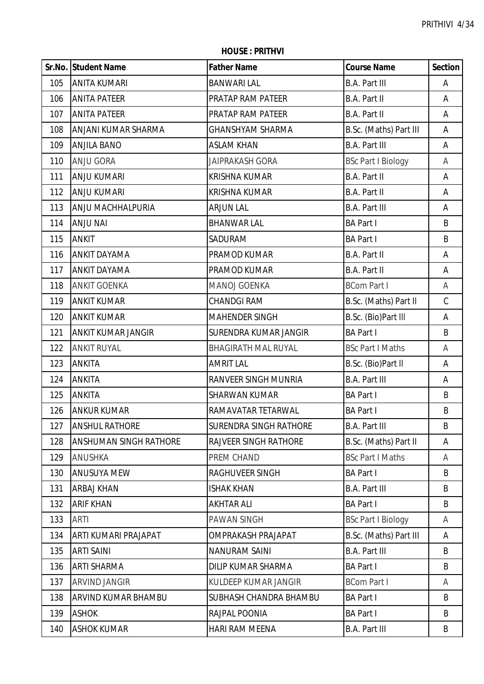**HOUSE : PRITHVI**

|     | Sr.No. Student Name           | <b>Father Name</b>            | <b>Course Name</b>        | <b>Section</b> |
|-----|-------------------------------|-------------------------------|---------------------------|----------------|
| 105 | <b>ANITA KUMARI</b>           | <b>BANWARI LAL</b>            | <b>B.A. Part III</b>      | A              |
| 106 | <b>ANITA PATEER</b>           | PRATAP RAM PATEER             | <b>B.A. Part II</b>       | Α              |
| 107 | <b>ANITA PATEER</b>           | PRATAP RAM PATEER             | B.A. Part II              | Α              |
| 108 | ANJANI KUMAR SHARMA           | <b>GHANSHYAM SHARMA</b>       | B.Sc. (Maths) Part III    | Α              |
| 109 | <b>ANJILA BANO</b>            | <b>ASLAM KHAN</b>             | <b>B.A. Part III</b>      | A              |
| 110 | <b>ANJU GORA</b>              | <b>JAIPRAKASH GORA</b>        | <b>BSc Part I Biology</b> | Α              |
| 111 | <b>ANJU KUMARI</b>            | <b>KRISHNA KUMAR</b>          | <b>B.A. Part II</b>       | A              |
| 112 | <b>ANJU KUMARI</b>            | <b>KRISHNA KUMAR</b>          | B.A. Part II              | A              |
| 113 | ANJU MACHHALPURIA             | <b>ARJUN LAL</b>              | <b>B.A. Part III</b>      | Α              |
| 114 | <b>ANJU NAI</b>               | <b>BHANWAR LAL</b>            | <b>BA Part I</b>          | B              |
| 115 | <b>ANKIT</b>                  | SADURAM                       | <b>BA Part I</b>          | B              |
| 116 | <b>ANKIT DAYAMA</b>           | PRAMOD KUMAR                  | <b>B.A. Part II</b>       | Α              |
| 117 | <b>ANKIT DAYAMA</b>           | PRAMOD KUMAR                  | B.A. Part II              | Α              |
| 118 | <b>ANKIT GOENKA</b>           | <b>MANOJ GOENKA</b>           | <b>BCom Part I</b>        | Α              |
| 119 | <b>ANKIT KUMAR</b>            | <b>CHANDGI RAM</b>            | B.Sc. (Maths) Part II     | $\mathsf C$    |
| 120 | <b>ANKIT KUMAR</b>            | <b>MAHENDER SINGH</b>         | B.Sc. (Bio)Part III       | A              |
| 121 | ANKIT KUMAR JANGIR            | SURENDRA KUMAR JANGIR         | <b>BA Part I</b>          | B              |
| 122 | <b>ANKIT RUYAL</b>            | <b>BHAGIRATH MAL RUYAL</b>    | <b>BSc Part I Maths</b>   | Α              |
| 123 | <b>ANKITA</b>                 | <b>AMRIT LAL</b>              | B.Sc. (Bio)Part II        | A              |
| 124 | ANKITA                        | <b>RANVEER SINGH MUNRIA</b>   | <b>B.A. Part III</b>      | A              |
| 125 | ANKITA                        | <b>SHARWAN KUMAR</b>          | <b>BA Part I</b>          | B              |
| 126 | <b>ANKUR KUMAR</b>            | RAMAVATAR TETARWAL            | <b>BA Part I</b>          | B              |
| 127 | <b>ANSHUL RATHORE</b>         | <b>SURENDRA SINGH RATHORE</b> | <b>B.A. Part III</b>      | B              |
| 128 | <b>ANSHUMAN SINGH RATHORE</b> | <b>RAJVEER SINGH RATHORE</b>  | B.Sc. (Maths) Part II     | Α              |
| 129 | <b>ANUSHKA</b>                | PREM CHAND                    | <b>BSc Part I Maths</b>   | A              |
| 130 | <b>ANUSUYA MEW</b>            | <b>RAGHUVEER SINGH</b>        | <b>BA Part I</b>          | B              |
| 131 | <b>ARBAJ KHAN</b>             | <b>ISHAK KHAN</b>             | <b>B.A. Part III</b>      | B              |
| 132 | <b>ARIF KHAN</b>              | <b>AKHTAR ALI</b>             | <b>BA Part I</b>          | B              |
| 133 | <b>ARTI</b>                   | <b>PAWAN SINGH</b>            | <b>BSc Part I Biology</b> | Α              |
| 134 | ARTI KUMARI PRAJAPAT          | <b>OMPRAKASH PRAJAPAT</b>     | B.Sc. (Maths) Part III    | A              |
| 135 | <b>ARTI SAINI</b>             | <b>NANURAM SAINI</b>          | <b>B.A. Part III</b>      | B              |
| 136 | <b>ARTI SHARMA</b>            | DILIP KUMAR SHARMA            | <b>BA Part I</b>          | B              |
| 137 | <b>ARVIND JANGIR</b>          | <b>KULDEEP KUMAR JANGIR</b>   | <b>BCom Part I</b>        | A              |
| 138 | ARVIND KUMAR BHAMBU           | SUBHASH CHANDRA BHAMBU        | <b>BA Part I</b>          | B              |
| 139 | <b>ASHOK</b>                  | RAJPAL POONIA                 | <b>BA Part I</b>          | B              |
| 140 | <b>ASHOK KUMAR</b>            | <b>HARI RAM MEENA</b>         | <b>B.A. Part III</b>      | B              |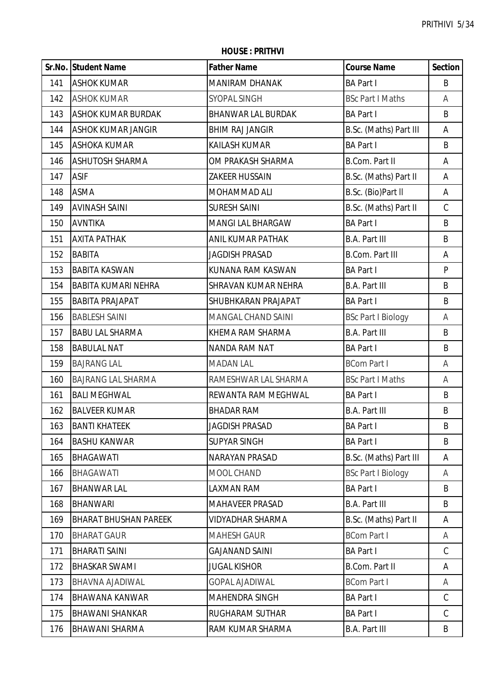**HOUSE : PRITHVI**

|     | Sr.No. Student Name          | <b>Father Name</b>        | <b>Course Name</b>        | <b>Section</b> |
|-----|------------------------------|---------------------------|---------------------------|----------------|
| 141 | <b>ASHOK KUMAR</b>           | <b>MANIRAM DHANAK</b>     | <b>BA Part I</b>          | B              |
| 142 | <b>ASHOK KUMAR</b>           | <b>SYOPAL SINGH</b>       | <b>BSc Part I Maths</b>   | A              |
| 143 | <b>ASHOK KUMAR BURDAK</b>    | <b>BHANWAR LAL BURDAK</b> | <b>BA Part I</b>          | B              |
| 144 | <b>ASHOK KUMAR JANGIR</b>    | <b>BHIM RAJ JANGIR</b>    | B.Sc. (Maths) Part III    | Α              |
| 145 | <b>ASHOKA KUMAR</b>          | <b>KAILASH KUMAR</b>      | <b>BA Part I</b>          | B              |
| 146 | <b>ASHUTOSH SHARMA</b>       | OM PRAKASH SHARMA         | <b>B.Com. Part II</b>     | Α              |
| 147 | <b>ASIF</b>                  | <b>ZAKEER HUSSAIN</b>     | B.Sc. (Maths) Part II     | Α              |
| 148 | <b>ASMA</b>                  | MOHAMMAD ALI              | B.Sc. (Bio)Part II        | Α              |
| 149 | <b>AVINASH SAINI</b>         | <b>SURESH SAINI</b>       | B.Sc. (Maths) Part II     | $\mathsf C$    |
| 150 | <b>AVNTIKA</b>               | <b>MANGI LAL BHARGAW</b>  | <b>BA Part I</b>          | B              |
| 151 | <b>AXITA PATHAK</b>          | ANIL KUMAR PATHAK         | <b>B.A. Part III</b>      | B              |
| 152 | <b>BABITA</b>                | <b>JAGDISH PRASAD</b>     | <b>B.Com. Part III</b>    | Α              |
| 153 | <b>BABITA KASWAN</b>         | KUNANA RAM KASWAN         | <b>BA Part I</b>          | ${\sf P}$      |
| 154 | <b>BABITA KUMARI NEHRA</b>   | SHRAVAN KUMAR NEHRA       | <b>B.A. Part III</b>      | B              |
| 155 | <b>BABITA PRAJAPAT</b>       | SHUBHKARAN PRAJAPAT       | <b>BA Part I</b>          | B              |
| 156 | <b>BABLESH SAINI</b>         | MANGAL CHAND SAINI        | <b>BSc Part I Biology</b> | Α              |
| 157 | <b>BABU LAL SHARMA</b>       | KHEMA RAM SHARMA          | <b>B.A. Part III</b>      | B              |
| 158 | <b>BABULAL NAT</b>           | <b>NANDA RAM NAT</b>      | <b>BA Part I</b>          | B              |
| 159 | <b>BAJRANG LAL</b>           | <b>MADAN LAL</b>          | <b>BCom Part I</b>        | Α              |
| 160 | <b>BAJRANG LAL SHARMA</b>    | RAMESHWAR LAL SHARMA      | <b>BSc Part I Maths</b>   | A              |
| 161 | <b>BALI MEGHWAL</b>          | REWANTA RAM MEGHWAL       | <b>BA Part I</b>          | B              |
| 162 | <b>BALVEER KUMAR</b>         | <b>BHADAR RAM</b>         | <b>B.A. Part III</b>      | $\sf B$        |
| 163 | <b>BANTI KHATEEK</b>         | <b>JAGDISH PRASAD</b>     | <b>BA Part I</b>          | B              |
| 164 | <b>BASHU KANWAR</b>          | <b>SUPYAR SINGH</b>       | <b>BA Part I</b>          | B              |
| 165 | <b>BHAGAWATI</b>             | NARAYAN PRASAD            | B.Sc. (Maths) Part III    | A              |
| 166 | <b>BHAGAWATI</b>             | MOOL CHAND                | <b>BSc Part I Biology</b> | A              |
| 167 | <b>BHANWAR LAL</b>           | LAXMAN RAM                | <b>BA Part I</b>          | B              |
| 168 | <b>BHANWARI</b>              | <b>MAHAVEER PRASAD</b>    | <b>B.A. Part III</b>      | B              |
| 169 | <b>BHARAT BHUSHAN PAREEK</b> | <b>VIDYADHAR SHARMA</b>   | B.Sc. (Maths) Part II     | Α              |
| 170 | <b>BHARAT GAUR</b>           | <b>MAHESH GAUR</b>        | <b>BCom Part I</b>        | A              |
| 171 | <b>BHARATI SAINI</b>         | <b>GAJANAND SAINI</b>     | <b>BA Part I</b>          | $\mathsf C$    |
| 172 | <b>BHASKAR SWAMI</b>         | <b>JUGAL KISHOR</b>       | <b>B.Com. Part II</b>     | A              |
| 173 | BHAVNA AJADIWAL              | <b>GOPAL AJADIWAL</b>     | <b>BCom Part I</b>        | A              |
| 174 | <b>BHAWANA KANWAR</b>        | MAHENDRA SINGH            | <b>BA Part I</b>          | C              |
| 175 | <b>BHAWANI SHANKAR</b>       | RUGHARAM SUTHAR           | <b>BA Part I</b>          | C              |
| 176 | <b>BHAWANI SHARMA</b>        | RAM KUMAR SHARMA          | <b>B.A. Part III</b>      | B              |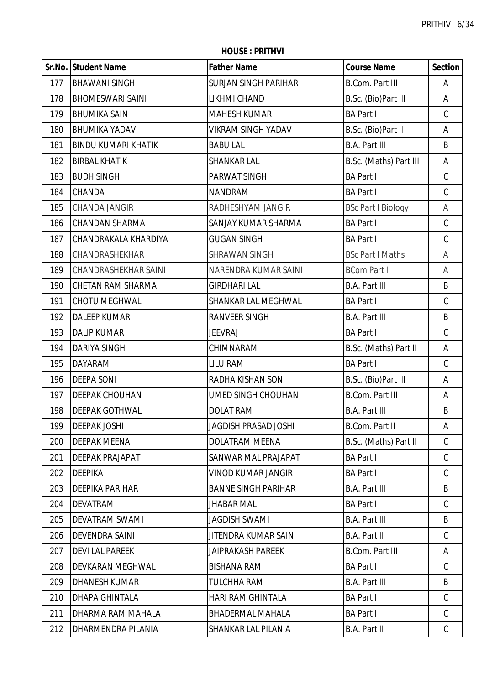|     | Sr.No. Student Name        | <b>Father Name</b>          | <b>Course Name</b>        | <b>Section</b> |
|-----|----------------------------|-----------------------------|---------------------------|----------------|
| 177 | <b>BHAWANI SINGH</b>       | <b>SURJAN SINGH PARIHAR</b> | <b>B.Com. Part III</b>    | Α              |
| 178 | <b>BHOMESWARI SAINI</b>    | LIKHMI CHAND                | B.Sc. (Bio)Part III       | A              |
| 179 | <b>BHUMIKA SAIN</b>        | <b>MAHESH KUMAR</b>         | <b>BA Part I</b>          | $\mathsf C$    |
| 180 | <b>BHUMIKA YADAV</b>       | <b>VIKRAM SINGH YADAV</b>   | B.Sc. (Bio)Part II        | A              |
| 181 | <b>BINDU KUMARI KHATIK</b> | <b>BABU LAL</b>             | <b>B.A. Part III</b>      | B              |
| 182 | <b>BIRBAL KHATIK</b>       | <b>SHANKAR LAL</b>          | B.Sc. (Maths) Part III    | A              |
| 183 | <b>BUDH SINGH</b>          | PARWAT SINGH                | <b>BA Part I</b>          | $\mathsf C$    |
| 184 | <b>CHANDA</b>              | <b>NANDRAM</b>              | <b>BA Part I</b>          | $\mathcal{C}$  |
| 185 | CHANDA JANGIR              | RADHESHYAM JANGIR           | <b>BSc Part I Biology</b> | A              |
| 186 | <b>CHANDAN SHARMA</b>      | SANJAY KUMAR SHARMA         | <b>BA Part I</b>          | $\mathsf C$    |
| 187 | CHANDRAKALA KHARDIYA       | <b>GUGAN SINGH</b>          | <b>BA Part I</b>          | $\mathsf C$    |
| 188 | CHANDRASHEKHAR             | SHRAWAN SINGH               | <b>BSc Part I Maths</b>   | A              |
| 189 | CHANDRASHEKHAR SAINI       | NARENDRA KUMAR SAINI        | <b>BCom Part I</b>        | Α              |
| 190 | CHETAN RAM SHARMA          | <b>GIRDHARI LAL</b>         | <b>B.A. Part III</b>      | B              |
| 191 | CHOTU MEGHWAL              | SHANKAR LAL MEGHWAL         | <b>BA Part I</b>          | $\mathcal{C}$  |
| 192 | <b>DALEEP KUMAR</b>        | <b>RANVEER SINGH</b>        | <b>B.A. Part III</b>      | B              |
| 193 | <b>DALIP KUMAR</b>         | <b>JEEVRAJ</b>              | <b>BA Part I</b>          | $\mathsf C$    |
| 194 | <b>DARIYA SINGH</b>        | CHIMNARAM                   | B.Sc. (Maths) Part II     | A              |
| 195 | <b>DAYARAM</b>             | <b>LILU RAM</b>             | <b>BA Part I</b>          | $\mathsf C$    |
| 196 | <b>DEEPA SONI</b>          | RADHA KISHAN SONI           | B.Sc. (Bio)Part III       | Α              |
| 197 | <b>DEEPAK CHOUHAN</b>      | <b>UMED SINGH CHOUHAN</b>   | <b>B.Com. Part III</b>    | A              |
| 198 | <b>DEEPAK GOTHWAL</b>      | <b>DOLAT RAM</b>            | <b>B.A. Part III</b>      | B              |
| 199 | <b>DEEPAK JOSHI</b>        | JAGDISH PRASAD JOSHI        | B.Com. Part II            | Α              |
| 200 | <b>DEEPAK MEENA</b>        | DOLATRAM MEENA              | B.Sc. (Maths) Part II     | C              |
| 201 | DEEPAK PRAJAPAT            | SANWAR MAL PRAJAPAT         | <b>BA Part I</b>          | C              |
| 202 | <b>DEEPIKA</b>             | <b>VINOD KUMAR JANGIR</b>   | <b>BA Part I</b>          | C              |
| 203 | <b>DEEPIKA PARIHAR</b>     | <b>BANNE SINGH PARIHAR</b>  | <b>B.A. Part III</b>      | B              |
| 204 | <b>DEVATRAM</b>            | <b>JHABAR MAL</b>           | <b>BA Part I</b>          | C              |
| 205 | DEVATRAM SWAMI             | <b>JAGDISH SWAMI</b>        | <b>B.A. Part III</b>      | B              |
| 206 | DEVENDRA SAINI             | JITENDRA KUMAR SAINI        | B.A. Part II              | C              |
| 207 | <b>DEVI LAL PAREEK</b>     | <b>JAIPRAKASH PAREEK</b>    | <b>B.Com. Part III</b>    | A              |
| 208 | <b>DEVKARAN MEGHWAL</b>    | <b>BISHANA RAM</b>          | <b>BA Part I</b>          | C              |
| 209 | <b>DHANESH KUMAR</b>       | <b>TULCHHA RAM</b>          | <b>B.A. Part III</b>      | B              |
| 210 | DHAPA GHINTALA             | <b>HARI RAM GHINTALA</b>    | <b>BA Part I</b>          | C              |
| 211 | DHARMA RAM MAHALA          | <b>BHADERMAL MAHALA</b>     | <b>BA Part I</b>          | C              |
| 212 | DHARMENDRA PILANIA         | SHANKAR LAL PILANIA         | B.A. Part II              | C              |

**HOUSE : PRITHVI**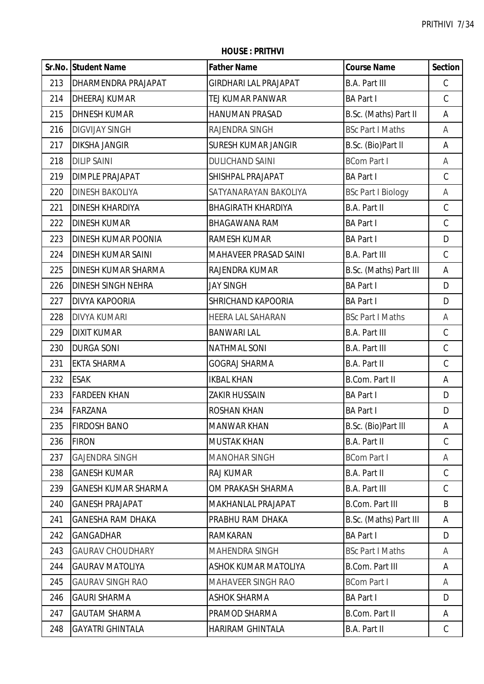|     | Sr.No. Student Name        | <b>Father Name</b>           | <b>Course Name</b>        | <b>Section</b> |
|-----|----------------------------|------------------------------|---------------------------|----------------|
| 213 | DHARMENDRA PRAJAPAT        | <b>GIRDHARI LAL PRAJAPAT</b> | B.A. Part III             | $\mathsf C$    |
| 214 | DHEERAJ KUMAR              | TEJ KUMAR PANWAR             | <b>BA Part I</b>          | $\mathsf C$    |
| 215 | <b>DHNESH KUMAR</b>        | HANUMAN PRASAD               | B.Sc. (Maths) Part II     | A              |
| 216 | <b>DIGVIJAY SINGH</b>      | RAJENDRA SINGH               | <b>BSc Part I Maths</b>   | A              |
| 217 | <b>DIKSHA JANGIR</b>       | <b>SURESH KUMAR JANGIR</b>   | B.Sc. (Bio)Part II        | Α              |
| 218 | <b>DILIP SAINI</b>         | <b>DULICHAND SAINI</b>       | <b>BCom Part I</b>        | A              |
| 219 | <b>DIMPLE PRAJAPAT</b>     | SHISHPAL PRAJAPAT            | <b>BA Part I</b>          | $\mathsf C$    |
| 220 | <b>DINESH BAKOLIYA</b>     | SATYANARAYAN BAKOLIYA        | <b>BSc Part I Biology</b> | A              |
| 221 | DINESH KHARDIYA            | <b>BHAGIRATH KHARDIYA</b>    | B.A. Part II              | $\mathsf C$    |
| 222 | <b>DINESH KUMAR</b>        | BHAGAWANA RAM                | <b>BA Part I</b>          | $\mathsf C$    |
| 223 | DINESH KUMAR POONIA        | RAMESH KUMAR                 | <b>BA Part I</b>          | D              |
| 224 | DINESH KUMAR SAINI         | <b>MAHAVEER PRASAD SAINI</b> | <b>B.A. Part III</b>      | $\mathsf C$    |
| 225 | DINESH KUMAR SHARMA        | RAJENDRA KUMAR               | B.Sc. (Maths) Part III    | A              |
| 226 | DINESH SINGH NEHRA         | <b>JAY SINGH</b>             | <b>BA Part I</b>          | D              |
| 227 | DIVYA KAPOORIA             | SHRICHAND KAPOORIA           | <b>BA Part I</b>          | D              |
| 228 | <b>DIVYA KUMARI</b>        | HEERA LAL SAHARAN            | <b>BSc Part I Maths</b>   | A              |
| 229 | <b>DIXIT KUMAR</b>         | <b>BANWARI LAL</b>           | <b>B.A. Part III</b>      | $\mathsf C$    |
| 230 | <b>DURGA SONI</b>          | <b>NATHMAL SONI</b>          | <b>B.A. Part III</b>      | $\mathsf C$    |
| 231 | EKTA SHARMA                | <b>GOGRAJ SHARMA</b>         | B.A. Part II              | $\mathsf C$    |
| 232 | <b>ESAK</b>                | <b>IKBAL KHAN</b>            | B.Com. Part II            | Α              |
| 233 | <b>FARDEEN KHAN</b>        | <b>ZAKIR HUSSAIN</b>         | <b>BA Part I</b>          | D              |
| 234 | FARZANA                    | <b>ROSHAN KHAN</b>           | <b>BA Part I</b>          | D              |
| 235 | <b>FIRDOSH BANO</b>        | <b>MANWAR KHAN</b>           | B.Sc. (Bio)Part III       | A              |
| 236 | <b>FIRON</b>               | <b>MUSTAK KHAN</b>           | B.A. Part II              | C              |
| 237 | <b>GAJENDRA SINGH</b>      | <b>MANOHAR SINGH</b>         | <b>BCom Part I</b>        | A              |
| 238 | <b>GANESH KUMAR</b>        | <b>RAJ KUMAR</b>             | B.A. Part II              | $\mathsf C$    |
| 239 | <b>GANESH KUMAR SHARMA</b> | OM PRAKASH SHARMA            | <b>B.A. Part III</b>      | $\mathsf C$    |
| 240 | <b>GANESH PRAJAPAT</b>     | MAKHANLAL PRAJAPAT           | <b>B.Com. Part III</b>    | B              |
| 241 | <b>GANESHA RAM DHAKA</b>   | PRABHU RAM DHAKA             | B.Sc. (Maths) Part III    | A              |
| 242 | <b>GANGADHAR</b>           | RAMKARAN                     | <b>BA Part I</b>          | D              |
| 243 | <b>GAURAV CHOUDHARY</b>    | <b>MAHENDRA SINGH</b>        | <b>BSc Part I Maths</b>   | A              |
| 244 | <b>GAURAV MATOLIYA</b>     | ASHOK KUMAR MATOLIYA         | <b>B.Com. Part III</b>    | A              |
| 245 | <b>GAURAV SINGH RAO</b>    | <b>MAHAVEER SINGH RAO</b>    | <b>BCom Part I</b>        | A              |
| 246 | <b>GAURI SHARMA</b>        | <b>ASHOK SHARMA</b>          | <b>BA Part I</b>          | D              |
| 247 | <b>GAUTAM SHARMA</b>       | PRAMOD SHARMA                | B.Com. Part II            | A              |
| 248 | <b>GAYATRI GHINTALA</b>    | HARIRAM GHINTALA             | B.A. Part II              | $\mathsf{C}$   |

**HOUSE : PRITHVI**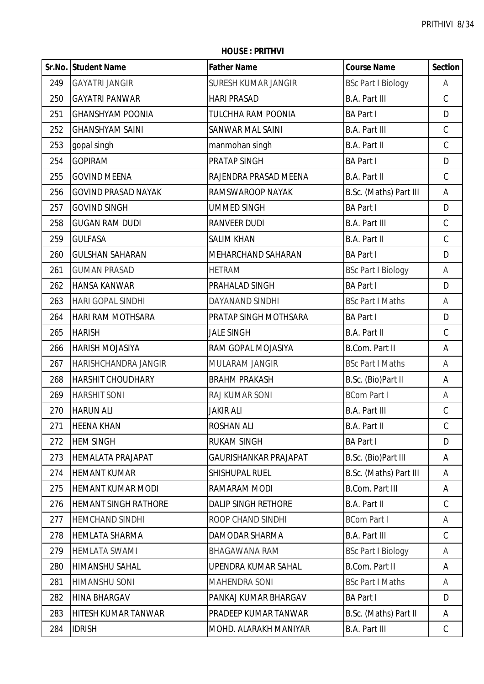|     | Sr.No. Student Name         | <b>Father Name</b>           | <b>Course Name</b>        | <b>Section</b> |
|-----|-----------------------------|------------------------------|---------------------------|----------------|
| 249 | <b>GAYATRI JANGIR</b>       | <b>SURESH KUMAR JANGIR</b>   | <b>BSc Part I Biology</b> | А              |
| 250 | <b>GAYATRI PANWAR</b>       | <b>HARI PRASAD</b>           | <b>B.A. Part III</b>      | $\mathsf C$    |
| 251 | <b>GHANSHYAM POONIA</b>     | <b>TULCHHA RAM POONIA</b>    | <b>BA Part I</b>          | D              |
| 252 | <b>GHANSHYAM SAINI</b>      | <b>SANWAR MAL SAINI</b>      | <b>B.A. Part III</b>      | $\mathsf C$    |
| 253 | gopal singh                 | manmohan singh               | B.A. Part II              | $\mathsf C$    |
| 254 | <b>GOPIRAM</b>              | PRATAP SINGH                 | <b>BA Part I</b>          | D              |
| 255 | <b>GOVIND MEENA</b>         | RAJENDRA PRASAD MEENA        | B.A. Part II              | $\mathsf C$    |
| 256 | <b>GOVIND PRASAD NAYAK</b>  | RAMSWAROOP NAYAK             | B.Sc. (Maths) Part III    | Α              |
| 257 | <b>GOVIND SINGH</b>         | <b>UMMED SINGH</b>           | <b>BA Part I</b>          | D              |
| 258 | <b>GUGAN RAM DUDI</b>       | <b>RANVEER DUDI</b>          | <b>B.A. Part III</b>      | $\mathsf C$    |
| 259 | <b>GULFASA</b>              | <b>SALIM KHAN</b>            | B.A. Part II              | $\mathsf C$    |
| 260 | <b>GULSHAN SAHARAN</b>      | MEHARCHAND SAHARAN           | <b>BA Part I</b>          | D              |
| 261 | <b>GUMAN PRASAD</b>         | <b>HETRAM</b>                | <b>BSc Part I Biology</b> | Α              |
| 262 | <b>HANSA KANWAR</b>         | PRAHALAD SINGH               | <b>BA Part I</b>          | D              |
| 263 | <b>HARI GOPAL SINDHI</b>    | DAYANAND SINDHI              | <b>BSc Part I Maths</b>   | Α              |
| 264 | <b>HARI RAM MOTHSARA</b>    | PRATAP SINGH MOTHSARA        | <b>BA Part I</b>          | D              |
| 265 | <b>HARISH</b>               | <b>JALE SINGH</b>            | <b>B.A. Part II</b>       | $\mathsf C$    |
| 266 | <b>HARISH MOJASIYA</b>      | RAM GOPAL MOJASIYA           | <b>B.Com. Part II</b>     | Α              |
| 267 | HARISHCHANDRA JANGIR        | MULARAM JANGIR               | <b>BSc Part I Maths</b>   | A              |
| 268 | <b>HARSHIT CHOUDHARY</b>    | <b>BRAHM PRAKASH</b>         | B.Sc. (Bio)Part II        | Α              |
| 269 | <b>HARSHIT SONI</b>         | RAJ KUMAR SONI               | <b>BCom Part I</b>        | Α              |
| 270 | <b>HARUN ALI</b>            | <b>JAKIR ALI</b>             | <b>B.A. Part III</b>      | $\mathsf C$    |
| 271 | <b>HEENA KHAN</b>           | <b>ROSHAN ALI</b>            | <b>B.A. Part II</b>       | $\mathsf C$    |
| 272 | <b>HEM SINGH</b>            | <b>RUKAM SINGH</b>           | <b>BA Part I</b>          | D              |
| 273 | <b>HEMALATA PRAJAPAT</b>    | <b>GAURISHANKAR PRAJAPAT</b> | B.Sc. (Bio)Part III       | Α              |
| 274 | <b>HEMANT KUMAR</b>         | SHISHUPAL RUEL               | B.Sc. (Maths) Part III    | Α              |
| 275 | HEMANT KUMAR MODI           | RAMARAM MODI                 | <b>B.Com. Part III</b>    | Α              |
| 276 | <b>HEMANT SINGH RATHORE</b> | <b>DALIP SINGH RETHORE</b>   | <b>B.A. Part II</b>       | $\mathsf C$    |
| 277 | <b>HEMCHAND SINDHI</b>      | ROOP CHAND SINDHI            | <b>BCom Part I</b>        | Α              |
| 278 | <b>HEMLATA SHARMA</b>       | DAMODAR SHARMA               | <b>B.A. Part III</b>      | $\mathcal{C}$  |
| 279 | <b>HEMLATA SWAMI</b>        | <b>BHAGAWANA RAM</b>         | <b>BSc Part I Biology</b> | Α              |
| 280 | <b>HIMANSHU SAHAL</b>       | <b>UPENDRA KUMAR SAHAL</b>   | <b>B.Com. Part II</b>     | А              |
| 281 | <b>HIMANSHU SONI</b>        | <b>MAHENDRA SONI</b>         | <b>BSc Part I Maths</b>   | Α              |
| 282 | <b>HINA BHARGAV</b>         | PANKAJ KUMAR BHARGAV         | <b>BA Part I</b>          | D              |
| 283 | HITESH KUMAR TANWAR         | PRADEEP KUMAR TANWAR         | B.Sc. (Maths) Part II     | Α              |
| 284 | <b>IDRISH</b>               | MOHD. ALARAKH MANIYAR        | <b>B.A. Part III</b>      | C              |

**HOUSE : PRITHVI**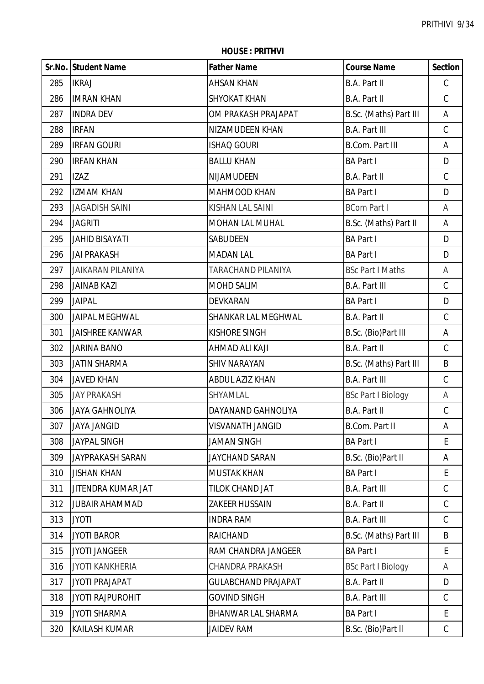**HOUSE : PRITHVI**

|     | Sr.No. Student Name      | <b>Father Name</b>         | <b>Course Name</b>        | <b>Section</b> |
|-----|--------------------------|----------------------------|---------------------------|----------------|
| 285 | <b>IKRAJ</b>             | <b>AHSAN KHAN</b>          | B.A. Part II              | $\mathsf C$    |
| 286 | <b>IMRAN KHAN</b>        | <b>SHYOKAT KHAN</b>        | B.A. Part II              | $\mathsf C$    |
| 287 | <b>INDRA DEV</b>         | OM PRAKASH PRAJAPAT        | B.Sc. (Maths) Part III    | A              |
| 288 | <b>IRFAN</b>             | NIZAMUDEEN KHAN            | <b>B.A. Part III</b>      | $\mathsf C$    |
| 289 | <b>IRFAN GOURI</b>       | <b>ISHAQ GOURI</b>         | <b>B.Com. Part III</b>    | A              |
| 290 | <b>IRFAN KHAN</b>        | <b>BALLU KHAN</b>          | <b>BA Part I</b>          | D              |
| 291 | <b>IZAZ</b>              | NIJAMUDEEN                 | B.A. Part II              | $\mathsf C$    |
| 292 | <b>IZMAM KHAN</b>        | MAHMOOD KHAN               | <b>BA Part I</b>          | D              |
| 293 | <b>JAGADISH SAINI</b>    | KISHAN LAL SAINI           | <b>BCom Part I</b>        | Α              |
| 294 | <b>JAGRITI</b>           | MOHAN LAL MUHAL            | B.Sc. (Maths) Part II     | A              |
| 295 | <b>JAHID BISAYATI</b>    | SABUDEEN                   | <b>BA Part I</b>          | D              |
| 296 | <b>JAI PRAKASH</b>       | <b>MADAN LAL</b>           | <b>BA Part I</b>          | D              |
| 297 | <b>JAIKARAN PILANIYA</b> | TARACHAND PILANIYA         | <b>BSc Part I Maths</b>   | A              |
| 298 | <b>JAINAB KAZI</b>       | MOHD SALIM                 | <b>B.A. Part III</b>      | C              |
| 299 | <b>JAIPAL</b>            | DEVKARAN                   | <b>BA Part I</b>          | D              |
| 300 | <b>JAIPAL MEGHWAL</b>    | SHANKAR LAL MEGHWAL        | B.A. Part II              | $\mathsf C$    |
| 301 | <b>JAISHREE KANWAR</b>   | <b>KISHORE SINGH</b>       | B.Sc. (Bio)Part III       | A              |
| 302 | <b>JARINA BANO</b>       | AHMAD ALI KAJI             | B.A. Part II              | $\mathsf C$    |
| 303 | <b>JATIN SHARMA</b>      | <b>SHIV NARAYAN</b>        | B.Sc. (Maths) Part III    | B              |
| 304 | <b>JAVED KHAN</b>        | <b>ABDUL AZIZ KHAN</b>     | <b>B.A. Part III</b>      | $\mathsf C$    |
| 305 | <b>JAY PRAKASH</b>       | SHYAMLAL                   | <b>BSc Part I Biology</b> | Α              |
| 306 | <b>JAYA GAHNOLIYA</b>    | DAYANAND GAHNOLIYA         | <b>B.A. Part II</b>       | $\mathsf C$    |
| 307 | <b>JAYA JANGID</b>       | <b>VISVANATH JANGID</b>    | B.Com. Part II            | Α              |
| 308 | <b>JAYPAL SINGH</b>      | <b>JAMAN SINGH</b>         | <b>BA Part I</b>          | E              |
| 309 | JAYPRAKASH SARAN         | <b>JAYCHAND SARAN</b>      | B.Sc. (Bio)Part II        | Α              |
| 310 | <b>JISHAN KHAN</b>       | <b>MUSTAK KHAN</b>         | <b>BA Part I</b>          | E              |
| 311 | JITENDRA KUMAR JAT       | TILOK CHAND JAT            | <b>B.A. Part III</b>      | C              |
| 312 | <b>JUBAIR AHAMMAD</b>    | <b>ZAKEER HUSSAIN</b>      | B.A. Part II              | $\mathsf C$    |
| 313 | <b>JYOTI</b>             | <b>INDRA RAM</b>           | <b>B.A. Part III</b>      | C              |
| 314 | <b>JYOTI BAROR</b>       | RAICHAND                   | B.Sc. (Maths) Part III    | B              |
| 315 | <b>JYOTI JANGEER</b>     | RAM CHANDRA JANGEER        | <b>BA Part I</b>          | E              |
| 316 | <b>JYOTI KANKHERIA</b>   | <b>CHANDRA PRAKASH</b>     | <b>BSc Part I Biology</b> | Α              |
| 317 | <b>JYOTI PRAJAPAT</b>    | <b>GULABCHAND PRAJAPAT</b> | B.A. Part II              | D              |
| 318 | <b>JYOTI RAJPUROHIT</b>  | <b>GOVIND SINGH</b>        | <b>B.A. Part III</b>      | $\mathsf C$    |
| 319 | <b>JYOTI SHARMA</b>      | <b>BHANWAR LAL SHARMA</b>  | <b>BA Part I</b>          | E              |
| 320 | KAILASH KUMAR            | <b>JAIDEV RAM</b>          | B.Sc. (Bio)Part II        | $\mathsf C$    |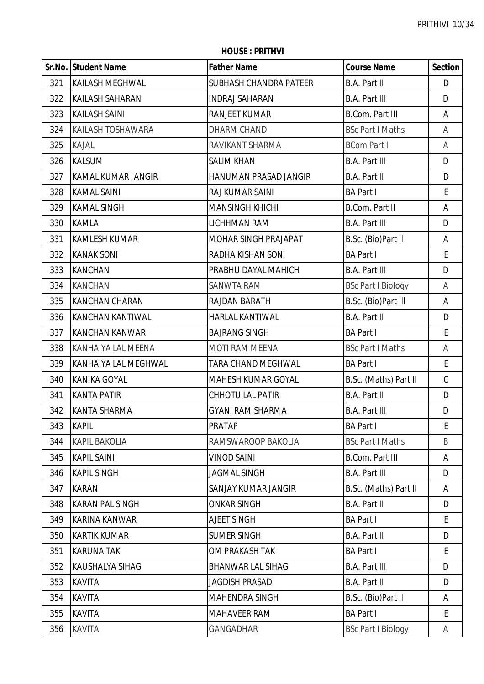|     | Sr.No. Student Name         | <b>Father Name</b>           | <b>Course Name</b>        | <b>Section</b> |
|-----|-----------------------------|------------------------------|---------------------------|----------------|
| 321 | <b>KAILASH MEGHWAL</b>      | SUBHASH CHANDRA PATEER       | <b>B.A. Part II</b>       | D              |
| 322 | <b>KAILASH SAHARAN</b>      | <b>INDRAJ SAHARAN</b>        | <b>B.A. Part III</b>      | D              |
| 323 | <b>KAILASH SAINI</b>        | RANJEET KUMAR                | <b>B.Com. Part III</b>    | Α              |
| 324 | <b>KAILASH TOSHAWARA</b>    | DHARM CHAND                  | <b>BSc Part I Maths</b>   | Α              |
| 325 | KAJAL                       | RAVIKANT SHARMA              | <b>BCom Part I</b>        | A              |
| 326 | <b>KALSUM</b>               | <b>SALIM KHAN</b>            | <b>B.A. Part III</b>      | D              |
| 327 | <b>KAMAL KUMAR JANGIR</b>   | <b>HANUMAN PRASAD JANGIR</b> | <b>B.A. Part II</b>       | D              |
| 328 | <b>KAMAL SAINI</b>          | RAJ KUMAR SAINI              | <b>BA Part I</b>          | E              |
| 329 | <b>KAMAL SINGH</b>          | <b>MANSINGH KHICHI</b>       | <b>B.Com. Part II</b>     | A              |
| 330 | <b>KAMLA</b>                | LICHHMAN RAM                 | <b>B.A. Part III</b>      | D              |
| 331 | <b>KAMLESH KUMAR</b>        | MOHAR SINGH PRAJAPAT         | B.Sc. (Bio)Part II        | A              |
| 332 | <b>KANAK SONI</b>           | RADHA KISHAN SONI            | <b>BA Part I</b>          | E              |
| 333 | <b>KANCHAN</b>              | PRABHU DAYAL MAHICH          | <b>B.A. Part III</b>      | D              |
| 334 | <b>KANCHAN</b>              | <b>SANWTA RAM</b>            | <b>BSc Part I Biology</b> | Α              |
| 335 | <b>KANCHAN CHARAN</b>       | RAJDAN BARATH                | B.Sc. (Bio)Part III       | A              |
| 336 | <b>KANCHAN KANTIWAL</b>     | <b>HARLAL KANTIWAL</b>       | B.A. Part II              | D              |
| 337 | <b>KANCHAN KANWAR</b>       | <b>BAJRANG SINGH</b>         | <b>BA Part I</b>          | E              |
| 338 | KANHAIYA LAL MEENA          | <b>MOTI RAM MEENA</b>        | <b>BSc Part I Maths</b>   | Α              |
| 339 | <b>KANHAIYA LAL MEGHWAL</b> | TARA CHAND MEGHWAL           | <b>BA Part I</b>          | E              |
| 340 | KANIKA GOYAL                | MAHESH KUMAR GOYAL           | B.Sc. (Maths) Part II     | $\mathsf C$    |
| 341 | <b>KANTA PATIR</b>          | CHHOTU LAL PATIR             | <b>B.A. Part II</b>       | D              |
| 342 | <b>KANTA SHARMA</b>         | <b>GYANI RAM SHARMA</b>      | <b>B.A. Part III</b>      | D              |
| 343 | <b>KAPIL</b>                | PRATAP                       | <b>BA Part I</b>          | E              |
| 344 | <b>KAPIL BAKOLIA</b>        | RAMSWAROOP BAKOLIA           | <b>BSc Part I Maths</b>   | B              |
| 345 | <b>KAPIL SAINI</b>          | <b>VINOD SAINI</b>           | <b>B.Com. Part III</b>    | A              |
| 346 | <b>KAPIL SINGH</b>          | <b>JAGMAL SINGH</b>          | <b>B.A. Part III</b>      | D              |
| 347 | <b>KARAN</b>                | <b>SANJAY KUMAR JANGIR</b>   | B.Sc. (Maths) Part II     | A              |
| 348 | <b>KARAN PAL SINGH</b>      | <b>ONKAR SINGH</b>           | B.A. Part II              | D              |
| 349 | <b>KARINA KANWAR</b>        | AJEET SINGH                  | <b>BA Part I</b>          | E.             |
| 350 | <b>KARTIK KUMAR</b>         | <b>SUMER SINGH</b>           | <b>B.A. Part II</b>       | D              |
| 351 | <b>KARUNA TAK</b>           | OM PRAKASH TAK               | <b>BA Part I</b>          | E              |
| 352 | <b>KAUSHALYA SIHAG</b>      | <b>BHANWAR LAL SIHAG</b>     | <b>B.A. Part III</b>      | D              |
| 353 | <b>KAVITA</b>               | <b>JAGDISH PRASAD</b>        | B.A. Part II              | D              |
| 354 | <b>KAVITA</b>               | MAHENDRA SINGH               | B.Sc. (Bio)Part II        | A              |
| 355 | <b>KAVITA</b>               | <b>MAHAVEER RAM</b>          | <b>BA Part I</b>          | E              |
| 356 | <b>KAVITA</b>               | <b>GANGADHAR</b>             | <b>BSc Part I Biology</b> | A              |

**HOUSE : PRITHVI**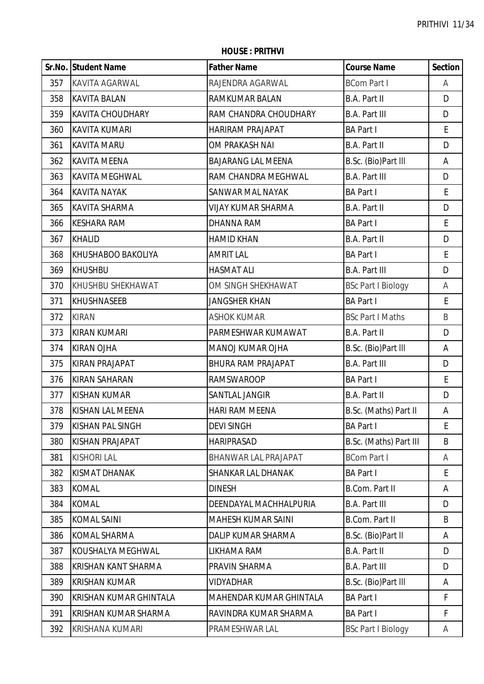|     | Sr.No. Student Name        | <b>Father Name</b>        | <b>Course Name</b>        | <b>Section</b>     |
|-----|----------------------------|---------------------------|---------------------------|--------------------|
| 357 | <b>KAVITA AGARWAL</b>      | RAJENDRA AGARWAL          | <b>BCom Part I</b>        | Α                  |
| 358 | <b>KAVITA BALAN</b>        | RAMKUMAR BALAN            | B.A. Part II              | D                  |
| 359 | <b>KAVITA CHOUDHARY</b>    | RAM CHANDRA CHOUDHARY     | <b>B.A. Part III</b>      | D                  |
| 360 | <b>KAVITA KUMARI</b>       | <b>HARIRAM PRAJAPAT</b>   | <b>BA Part I</b>          | $\mathsf E$        |
| 361 | <b>KAVITA MARU</b>         | OM PRAKASH NAI            | <b>B.A. Part II</b>       | D                  |
| 362 | <b>KAVITA MEENA</b>        | <b>BAJARANG LAL MEENA</b> | B.Sc. (Bio)Part III       | A                  |
| 363 | <b>KAVITA MEGHWAL</b>      | RAM CHANDRA MEGHWAL       | <b>B.A. Part III</b>      | D                  |
| 364 | <b>KAVITA NAYAK</b>        | SANWAR MAL NAYAK          | <b>BA Part I</b>          | E                  |
| 365 | <b>KAVITA SHARMA</b>       | <b>VIJAY KUMAR SHARMA</b> | <b>B.A. Part II</b>       | D                  |
| 366 | <b>KESHARA RAM</b>         | <b>DHANNA RAM</b>         | <b>BA Part I</b>          | $\mathsf{E}% _{0}$ |
| 367 | <b>KHALID</b>              | <b>HAMID KHAN</b>         | <b>B.A. Part II</b>       | D                  |
| 368 | KHUSHABOO BAKOLIYA         | <b>AMRIT LAL</b>          | <b>BA Part I</b>          | E                  |
| 369 | <b>KHUSHBU</b>             | <b>HASMAT ALI</b>         | <b>B.A. Part III</b>      | D                  |
| 370 | KHUSHBU SHEKHAWAT          | OM SINGH SHEKHAWAT        | <b>BSc Part I Biology</b> | Α                  |
| 371 | <b>KHUSHNASEEB</b>         | <b>JANGSHER KHAN</b>      | <b>BA Part I</b>          | E                  |
| 372 | <b>KIRAN</b>               | <b>ASHOK KUMAR</b>        | <b>BSc Part I Maths</b>   | B                  |
| 373 | <b>KIRAN KUMARI</b>        | PARMESHWAR KUMAWAT        | <b>B.A. Part II</b>       | D                  |
| 374 | <b>KIRAN OJHA</b>          | <b>MANOJ KUMAR OJHA</b>   | B.Sc. (Bio)Part III       | A                  |
| 375 | <b>KIRAN PRAJAPAT</b>      | <b>BHURA RAM PRAJAPAT</b> | <b>B.A. Part III</b>      | D                  |
| 376 | <b>KIRAN SAHARAN</b>       | <b>RAMSWAROOP</b>         | <b>BA Part I</b>          | $\mathsf{E}% _{0}$ |
| 377 | <b>KISHAN KUMAR</b>        | SANTLAL JANGIR            | B.A. Part II              | D                  |
| 378 | <b>KISHAN LAL MEENA</b>    | <b>HARI RAM MEENA</b>     | B.Sc. (Maths) Part II     | А                  |
| 379 | <b>KISHAN PAL SINGH</b>    | DEVI SINGH                | <b>BA Part I</b>          | Ŀ.                 |
| 380 | <b>KISHAN PRAJAPAT</b>     | <b>HARIPRASAD</b>         | B.Sc. (Maths) Part III    | B                  |
| 381 | <b>KISHORI LAL</b>         | BHANWAR LAL PRAJAPAT      | <b>BCom Part I</b>        | Α                  |
| 382 | <b>KISMAT DHANAK</b>       | SHANKAR LAL DHANAK        | <b>BA Part I</b>          | E                  |
| 383 | <b>KOMAL</b>               | <b>DINESH</b>             | <b>B.Com. Part II</b>     | A                  |
| 384 | <b>KOMAL</b>               | DEENDAYAL MACHHALPURIA    | <b>B.A. Part III</b>      | D                  |
| 385 | <b>KOMAL SAINI</b>         | MAHESH KUMAR SAINI        | B.Com. Part II            | B                  |
| 386 | KOMAL SHARMA               | DALIP KUMAR SHARMA        | B.Sc. (Bio)Part II        | Α                  |
| 387 | KOUSHALYA MEGHWAL          | LIKHAMA RAM               | <b>B.A. Part II</b>       | D                  |
| 388 | <b>KRISHAN KANT SHARMA</b> | PRAVIN SHARMA             | <b>B.A. Part III</b>      | D                  |
| 389 | <b>KRISHAN KUMAR</b>       | <b>VIDYADHAR</b>          | B.Sc. (Bio)Part III       | A                  |
| 390 | KRISHAN KUMAR GHINTALA     | MAHENDAR KUMAR GHINTALA   | <b>BA Part I</b>          | F                  |
| 391 | KRISHAN KUMAR SHARMA       | RAVINDRA KUMAR SHARMA     | <b>BA Part I</b>          | $\mathsf F$        |
| 392 | <b>KRISHANA KUMARI</b>     | PRAMESHWAR LAL            | <b>BSc Part I Biology</b> | A                  |

**HOUSE : PRITHVI**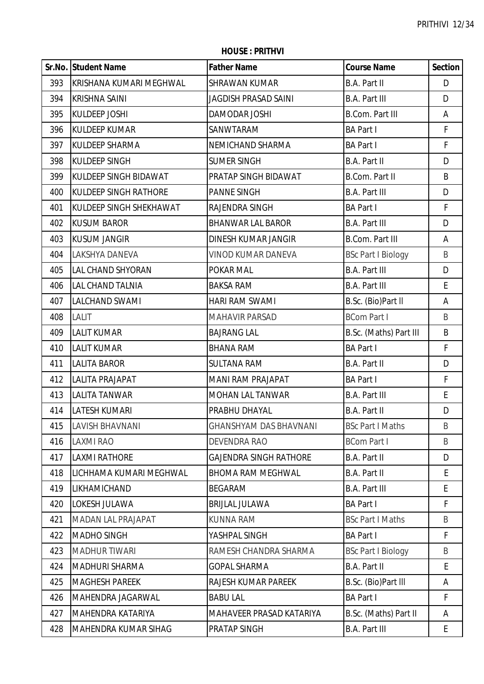|     | Sr.No. Student Name          | <b>Father Name</b>            | <b>Course Name</b>        | <b>Section</b> |
|-----|------------------------------|-------------------------------|---------------------------|----------------|
| 393 | İKRISHANA KUMARI MEGHWAL     | <b>SHRAWAN KUMAR</b>          | B.A. Part II              | D              |
| 394 | <b>KRISHNA SAINI</b>         | JAGDISH PRASAD SAINI          | <b>B.A. Part III</b>      | D              |
| 395 | <b>KULDEEP JOSHI</b>         | DAMODAR JOSHI                 | <b>B.Com. Part III</b>    | A              |
| 396 | <b>KULDEEP KUMAR</b>         | SANWTARAM                     | <b>BA Part I</b>          | F              |
| 397 | <b>KULDEEP SHARMA</b>        | NEMICHAND SHARMA              | <b>BA Part I</b>          | F              |
| 398 | <b>KULDEEP SINGH</b>         | <b>SUMER SINGH</b>            | B.A. Part II              | D              |
| 399 | KULDEEP SINGH BIDAWAT        | PRATAP SINGH BIDAWAT          | B.Com. Part II            | B              |
| 400 | <b>KULDEEP SINGH RATHORE</b> | <b>PANNE SINGH</b>            | <b>B.A. Part III</b>      | D              |
| 401 | KULDEEP SINGH SHEKHAWAT      | RAJENDRA SINGH                | <b>BA Part I</b>          | F              |
| 402 | <b>KUSUM BAROR</b>           | <b>BHANWAR LAL BAROR</b>      | <b>B.A. Part III</b>      | D              |
| 403 | <b>KUSUM JANGIR</b>          | DINESH KUMAR JANGIR           | <b>B.Com. Part III</b>    | A              |
| 404 | LAKSHYA DANEVA               | VINOD KUMAR DANEVA            | <b>BSc Part I Biology</b> | B              |
| 405 | LAL CHAND SHYORAN            | POKAR MAL                     | <b>B.A. Part III</b>      | D              |
| 406 | <b>LAL CHAND TALNIA</b>      | <b>BAKSA RAM</b>              | <b>B.A. Part III</b>      | E              |
| 407 | <b>LALCHAND SWAMI</b>        | HARI RAM SWAMI                | B.Sc. (Bio)Part II        | A              |
| 408 | <b>LALIT</b>                 | <b>MAHAVIR PARSAD</b>         | <b>BCom Part I</b>        | B              |
| 409 | <b>LALIT KUMAR</b>           | <b>BAJRANG LAL</b>            | B.Sc. (Maths) Part III    | B              |
| 410 | <b>LALIT KUMAR</b>           | <b>BHANA RAM</b>              | <b>BA Part I</b>          | F              |
| 411 | <b>LALITA BAROR</b>          | <b>SULTANA RAM</b>            | B.A. Part II              | D              |
| 412 | LALITA PRAJAPAT              | <b>MANI RAM PRAJAPAT</b>      | <b>BA Part I</b>          | F              |
| 413 | <b>LALITA TANWAR</b>         | MOHAN LAL TANWAR              | <b>B.A. Part III</b>      | E              |
| 414 | <b>LATESH KUMARI</b>         | PRABHU DHAYAL                 | B.A. Part II              | D              |
| 415 | LAVISH BHAVNANI              | <b>GHANSHYAM DAS BHAVNANI</b> | <b>BSc Part I Maths</b>   | B              |
| 416 | <b>LAXMI RAO</b>             | DEVENDRA RAO                  | <b>BCom Part I</b>        | B              |
| 417 | <b>LAXMI RATHORE</b>         | <b>GAJENDRA SINGH RATHORE</b> | B.A. Part II              | D              |
| 418 | LICHHAMA KUMARI MEGHWAL      | <b>BHOMA RAM MEGHWAL</b>      | B.A. Part II              | E              |
| 419 | LIKHAMICHAND                 | <b>BEGARAM</b>                | <b>B.A. Part III</b>      | E              |
| 420 | LOKESH JULAWA                | <b>BRIJLAL JULAWA</b>         | <b>BA Part I</b>          | F              |
| 421 | <b>MADAN LAL PRAJAPAT</b>    | <b>KUNNA RAM</b>              | <b>BSc Part I Maths</b>   | B              |
| 422 | <b>MADHO SINGH</b>           | YASHPAL SINGH                 | <b>BA Part I</b>          | F              |
| 423 | <b>MADHUR TIWARI</b>         | RAMESH CHANDRA SHARMA         | <b>BSc Part I Biology</b> | B              |
| 424 | <b>MADHURI SHARMA</b>        | <b>GOPAL SHARMA</b>           | B.A. Part II              | E              |
| 425 | <b>MAGHESH PAREEK</b>        | RAJESH KUMAR PAREEK           | B.Sc. (Bio)Part III       | Α              |
| 426 | <b>MAHENDRA JAGARWAL</b>     | <b>BABU LAL</b>               | <b>BA Part I</b>          | F              |
| 427 | MAHENDRA KATARIYA            | MAHAVEER PRASAD KATARIYA      | B.Sc. (Maths) Part II     | Α              |
| 428 | MAHENDRA KUMAR SIHAG         | PRATAP SINGH                  | <b>B.A. Part III</b>      | E              |

**HOUSE : PRITHVI**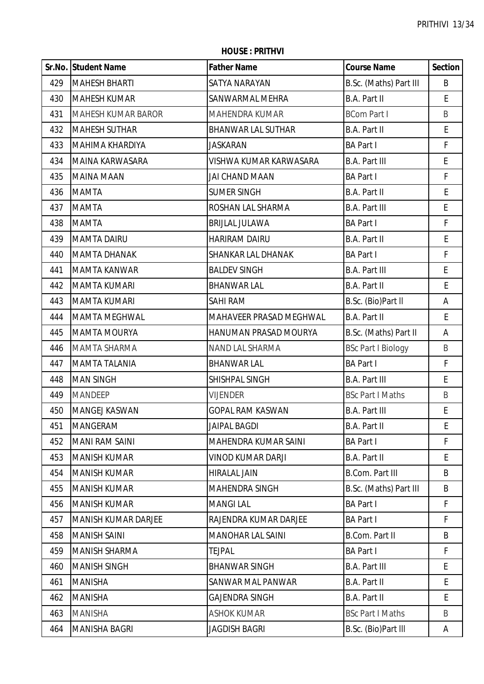|     | Sr.No. Student Name        | <b>Father Name</b>        | <b>Course Name</b>        | <b>Section</b> |
|-----|----------------------------|---------------------------|---------------------------|----------------|
| 429 | <b>MAHESH BHARTI</b>       | SATYA NARAYAN             | B.Sc. (Maths) Part III    | B              |
| 430 | <b>MAHESH KUMAR</b>        | SANWARMAL MEHRA           | <b>B.A. Part II</b>       | E.             |
| 431 | <b>MAHESH KUMAR BAROR</b>  | MAHENDRA KUMAR            | <b>BCom Part I</b>        | B              |
| 432 | <b>MAHESH SUTHAR</b>       | <b>BHANWAR LAL SUTHAR</b> | <b>B.A. Part II</b>       | E              |
| 433 | MAHIMA KHARDIYA            | <b>JASKARAN</b>           | <b>BA Part I</b>          | F              |
| 434 | MAINA KARWASARA            | VISHWA KUMAR KARWASARA    | <b>B.A. Part III</b>      | E              |
| 435 | <b>MAINA MAAN</b>          | JAI CHAND MAAN            | <b>BA Part I</b>          | F              |
| 436 | <b>MAMTA</b>               | <b>SUMER SINGH</b>        | B.A. Part II              | E              |
| 437 | <b>MAMTA</b>               | ROSHAN LAL SHARMA         | <b>B.A. Part III</b>      | E              |
| 438 | <b>MAMTA</b>               | <b>BRIJLAL JULAWA</b>     | <b>BA Part I</b>          | F              |
| 439 | <b>MAMTA DAIRU</b>         | <b>HARIRAM DAIRU</b>      | <b>B.A. Part II</b>       | E              |
| 440 | <b>MAMTA DHANAK</b>        | SHANKAR LAL DHANAK        | <b>BA Part I</b>          | F              |
| 441 | <b>MAMTA KANWAR</b>        | <b>BALDEV SINGH</b>       | <b>B.A. Part III</b>      | E              |
| 442 | <b>MAMTA KUMARI</b>        | <b>BHANWAR LAL</b>        | <b>B.A. Part II</b>       | E              |
| 443 | <b>MAMTA KUMARI</b>        | <b>SAHI RAM</b>           | B.Sc. (Bio)Part II        | Α              |
| 444 | <b>MAMTA MEGHWAL</b>       | MAHAVEER PRASAD MEGHWAL   | <b>B.A. Part II</b>       | E              |
| 445 | <b>MAMTA MOURYA</b>        | HANUMAN PRASAD MOURYA     | B.Sc. (Maths) Part II     | А              |
| 446 | <b>MAMTA SHARMA</b>        | NAND LAL SHARMA           | <b>BSc Part I Biology</b> | B              |
| 447 | <b>MAMTA TALANIA</b>       | <b>BHANWAR LAL</b>        | <b>BA Part I</b>          | F              |
| 448 | <b>MAN SINGH</b>           | SHISHPAL SINGH            | <b>B.A. Part III</b>      | E              |
| 449 | <b>MANDEEP</b>             | <b>VIJENDER</b>           | <b>BSc Part I Maths</b>   | $\sf B$        |
| 450 | <b>MANGEJ KASWAN</b>       | <b>GOPAL RAM KASWAN</b>   | <b>B.A. Part III</b>      | E              |
| 451 | <b>MANGERAM</b>            | <b>JAIPAL BAGDI</b>       | B.A. Part II              | Ŀ.             |
| 452 | <b>MANI RAM SAINI</b>      | MAHENDRA KUMAR SAINI      | <b>BA Part I</b>          | F              |
| 453 | <b>MANISH KUMAR</b>        | VINOD KUMAR DARJI         | <b>B.A. Part II</b>       | E              |
| 454 | <b>MANISH KUMAR</b>        | <b>HIRALAL JAIN</b>       | <b>B.Com. Part III</b>    | B              |
| 455 | <b>MANISH KUMAR</b>        | <b>MAHENDRA SINGH</b>     | B.Sc. (Maths) Part III    | B              |
| 456 | <b>MANISH KUMAR</b>        | <b>MANGILAL</b>           | <b>BA Part I</b>          | F              |
| 457 | <b>MANISH KUMAR DARJEE</b> | RAJENDRA KUMAR DARJEE     | <b>BA Part I</b>          | F              |
| 458 | <b>MANISH SAINI</b>        | <b>MANOHAR LAL SAINI</b>  | <b>B.Com. Part II</b>     | B              |
| 459 | <b>MANISH SHARMA</b>       | <b>TEJPAL</b>             | <b>BA Part I</b>          | F              |
| 460 | <b>MANISH SINGH</b>        | <b>BHANWAR SINGH</b>      | <b>B.A. Part III</b>      | E              |
| 461 | <b>MANISHA</b>             | SANWAR MAL PANWAR         | <b>B.A. Part II</b>       | E.             |
| 462 | <b>MANISHA</b>             | <b>GAJENDRA SINGH</b>     | <b>B.A. Part II</b>       | E              |
| 463 | <b>MANISHA</b>             | <b>ASHOK KUMAR</b>        | <b>BSc Part I Maths</b>   | B              |
| 464 | MANISHA BAGRI              | <b>JAGDISH BAGRI</b>      | B.Sc. (Bio)Part III       | A              |

**HOUSE : PRITHVI**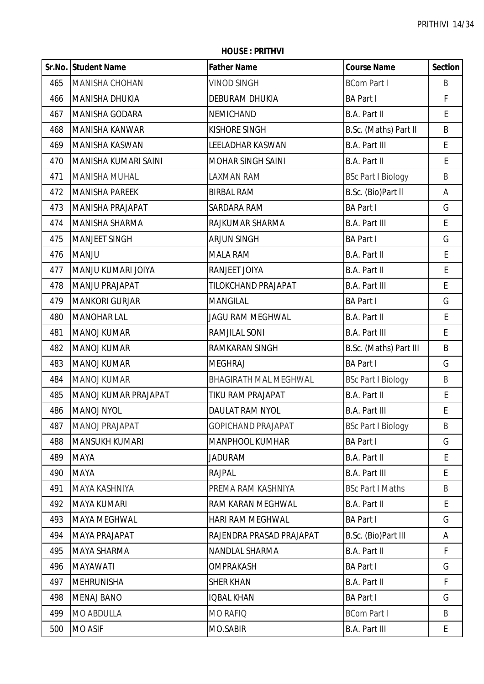|     | Sr.No. Student Name   | <b>Father Name</b>           | <b>Course Name</b>        | <b>Section</b> |
|-----|-----------------------|------------------------------|---------------------------|----------------|
| 465 | <b>MANISHA CHOHAN</b> | <b>VINOD SINGH</b>           | <b>BCom Part I</b>        | B              |
| 466 | MANISHA DHUKIA        | <b>DEBURAM DHUKIA</b>        | <b>BA Part I</b>          | F              |
| 467 | MANISHA GODARA        | NEMICHAND                    | B.A. Part II              | E              |
| 468 | MANISHA KANWAR        | <b>KISHORE SINGH</b>         | B.Sc. (Maths) Part II     | B              |
| 469 | MANISHA KASWAN        | <b>LEELADHAR KASWAN</b>      | <b>B.A. Part III</b>      | E              |
| 470 | MANISHA KUMARI SAINI  | <b>MOHAR SINGH SAINI</b>     | B.A. Part II              | E              |
| 471 | <b>MANISHA MUHAL</b>  | <b>LAXMAN RAM</b>            | <b>BSc Part I Biology</b> | B              |
| 472 | <b>MANISHA PAREEK</b> | <b>BIRBAL RAM</b>            | B.Sc. (Bio)Part II        | А              |
| 473 | MANISHA PRAJAPAT      | SARDARA RAM                  | <b>BA Part I</b>          | G              |
| 474 | MANISHA SHARMA        | RAJKUMAR SHARMA              | <b>B.A. Part III</b>      | E              |
| 475 | MANJEET SINGH         | <b>ARJUN SINGH</b>           | <b>BA Part I</b>          | G              |
| 476 | <b>MANJU</b>          | <b>MALA RAM</b>              | <b>B.A. Part II</b>       | E              |
| 477 | MANJU KUMARI JOIYA    | RANJEET JOIYA                | B.A. Part II              | E              |
| 478 | MANJU PRAJAPAT        | TILOKCHAND PRAJAPAT          | <b>B.A. Part III</b>      | E              |
| 479 | <b>MANKORI GURJAR</b> | <b>MANGILAL</b>              | <b>BA Part I</b>          | G              |
| 480 | <b>MANOHAR LAL</b>    | <b>JAGU RAM MEGHWAL</b>      | B.A. Part II              | E              |
| 481 | <b>MANOJ KUMAR</b>    | RAMJILAL SONI                | <b>B.A. Part III</b>      | E              |
| 482 | <b>MANOJ KUMAR</b>    | RAMKARAN SINGH               | B.Sc. (Maths) Part III    | B              |
| 483 | <b>MANOJ KUMAR</b>    | <b>MEGHRAJ</b>               | <b>BA Part I</b>          | G              |
| 484 | <b>MANOJ KUMAR</b>    | <b>BHAGIRATH MAL MEGHWAL</b> | <b>BSc Part I Biology</b> | B              |
| 485 | MANOJ KUMAR PRAJAPAT  | TIKU RAM PRAJAPAT            | B.A. Part II              | E              |
| 486 | MANOJ NYOL            | DAULAT RAM NYOL              | <b>B.A. Part III</b>      | $\mathsf E$    |
| 487 | <b>MANOJ PRAJAPAT</b> | GOPICHAND PRAJAPAT           | <b>BSc Part I Biology</b> | B              |
| 488 | <b>MANSUKH KUMARI</b> | <b>MANPHOOL KUMHAR</b>       | <b>BA Part I</b>          | G              |
| 489 | <b>MAYA</b>           | <b>JADURAM</b>               | <b>B.A. Part II</b>       | E              |
| 490 | <b>MAYA</b>           | <b>RAJPAL</b>                | <b>B.A. Part III</b>      | E              |
| 491 | <b>MAYA KASHNIYA</b>  | PREMA RAM KASHNIYA           | <b>BSc Part I Maths</b>   | B              |
| 492 | MAYA KUMARI           | RAM KARAN MEGHWAL            | B.A. Part II              | E              |
| 493 | <b>MAYA MEGHWAL</b>   | HARI RAM MEGHWAL             | <b>BA Part I</b>          | G              |
| 494 | <b>MAYA PRAJAPAT</b>  | RAJENDRA PRASAD PRAJAPAT     | B.Sc. (Bio)Part III       | Α              |
| 495 | <b>MAYA SHARMA</b>    | NANDLAL SHARMA               | B.A. Part II              | F              |
| 496 | <b>MAYAWATI</b>       | <b>OMPRAKASH</b>             | <b>BA Part I</b>          | G              |
| 497 | <b>MEHRUNISHA</b>     | <b>SHER KHAN</b>             | B.A. Part II              | F              |
| 498 | <b>MENAJ BANO</b>     | <b>IQBAL KHAN</b>            | <b>BA Part I</b>          | G              |
| 499 | <b>MO ABDULLA</b>     | <b>MO RAFIQ</b>              | <b>BCom Part I</b>        | B              |
| 500 | <b>MO ASIF</b>        | MO.SABIR                     | <b>B.A. Part III</b>      | E              |

**HOUSE : PRITHVI**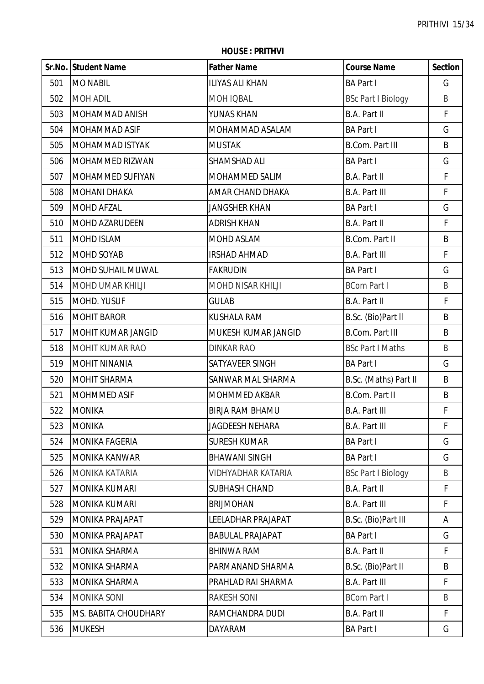**HOUSE : PRITHVI**

|     | Sr.No. Student Name   | <b>Father Name</b>        | <b>Course Name</b>        | <b>Section</b> |
|-----|-----------------------|---------------------------|---------------------------|----------------|
| 501 | <b>MO NABIL</b>       | <b>ILIYAS ALI KHAN</b>    | <b>BA Part I</b>          | G              |
| 502 | <b>MOH ADIL</b>       | MOH IQBAL                 | <b>BSc Part I Biology</b> | B              |
| 503 | MOHAMMAD ANISH        | YUNAS KHAN                | <b>B.A. Part II</b>       | $\mathsf F$    |
| 504 | MOHAMMAD ASIF         | MOHAMMAD ASALAM           | <b>BA Part I</b>          | G              |
| 505 | MOHAMMAD ISTYAK       | <b>MUSTAK</b>             | <b>B.Com. Part III</b>    | B              |
| 506 | MOHAMMED RIZWAN       | SHAMSHAD ALI              | <b>BA Part I</b>          | G              |
| 507 | MOHAMMED SUFIYAN      | MOHAMMED SALIM            | <b>B.A. Part II</b>       | F              |
| 508 | <b>MOHANI DHAKA</b>   | AMAR CHAND DHAKA          | <b>B.A. Part III</b>      | F              |
| 509 | MOHD AFZAL            | <b>JANGSHER KHAN</b>      | <b>BA Part I</b>          | G              |
| 510 | MOHD AZARUDEEN        | <b>ADRISH KHAN</b>        | <b>B.A. Part II</b>       | $\mathsf{F}$   |
| 511 | <b>MOHD ISLAM</b>     | MOHD ASLAM                | B.Com. Part II            | B              |
| 512 | MOHD SOYAB            | <b>IRSHAD AHMAD</b>       | <b>B.A. Part III</b>      | F              |
| 513 | MOHD SUHAIL MUWAL     | <b>FAKRUDIN</b>           | <b>BA Part I</b>          | G              |
| 514 | MOHD UMAR KHILJI      | MOHD NISAR KHILJI         | <b>BCom Part I</b>        | B              |
| 515 | MOHD. YUSUF           | <b>GULAB</b>              | <b>B.A. Part II</b>       | $\mathsf F$    |
| 516 | <b>MOHIT BAROR</b>    | <b>KUSHALA RAM</b>        | B.Sc. (Bio)Part II        | B              |
| 517 | MOHIT KUMAR JANGID    | MUKESH KUMAR JANGID       | <b>B.Com. Part III</b>    | B              |
| 518 | MOHIT KUMAR RAO       | <b>DINKAR RAO</b>         | <b>BSc Part I Maths</b>   | B              |
| 519 | <b>MOHIT NINANIA</b>  | SATYAVEER SINGH           | <b>BA Part I</b>          | G              |
| 520 | <b>MOHIT SHARMA</b>   | SANWAR MAL SHARMA         | B.Sc. (Maths) Part II     | B              |
| 521 | MOHMMED ASIF          | MOHMMED AKBAR             | <b>B.Com. Part II</b>     | B              |
| 522 | <b>MONIKA</b>         | <b>BIRJA RAM BHAMU</b>    | <b>B.A. Part III</b>      | F              |
| 523 | <b>MONIKA</b>         | <b>JAGDEESH NEHARA</b>    | <b>B.A. Part III</b>      | F              |
| 524 | <b>MONIKA FAGERIA</b> | <b>SURESH KUMAR</b>       | <b>BA Part I</b>          | G              |
| 525 | <b>MONIKA KANWAR</b>  | <b>BHAWANI SINGH</b>      | <b>BA Part I</b>          | G              |
| 526 | MONIKA KATARIA        | <b>VIDHYADHAR KATARIA</b> | <b>BSc Part I Biology</b> | B              |
| 527 | MONIKA KUMARI         | SUBHASH CHAND             | <b>B.A. Part II</b>       | F              |
| 528 | <b>MONIKA KUMARI</b>  | <b>BRIJMOHAN</b>          | <b>B.A. Part III</b>      | F              |
| 529 | MONIKA PRAJAPAT       | LEELADHAR PRAJAPAT        | B.Sc. (Bio)Part III       | A              |
| 530 | MONIKA PRAJAPAT       | <b>BABULAL PRAJAPAT</b>   | <b>BA Part I</b>          | G              |
| 531 | <b>MONIKA SHARMA</b>  | <b>BHINWA RAM</b>         | <b>B.A. Part II</b>       | F              |
| 532 | MONIKA SHARMA         | PARMANAND SHARMA          | B.Sc. (Bio)Part II        | B              |
| 533 | MONIKA SHARMA         | PRAHLAD RAI SHARMA        | <b>B.A. Part III</b>      | F              |
| 534 | <b>MONIKA SONI</b>    | <b>RAKESH SONI</b>        | <b>BCom Part I</b>        | B              |
| 535 | MS. BABITA CHOUDHARY  | RAMCHANDRA DUDI           | <b>B.A. Part II</b>       | F              |
| 536 | <b>MUKESH</b>         | <b>DAYARAM</b>            | <b>BA Part I</b>          | G              |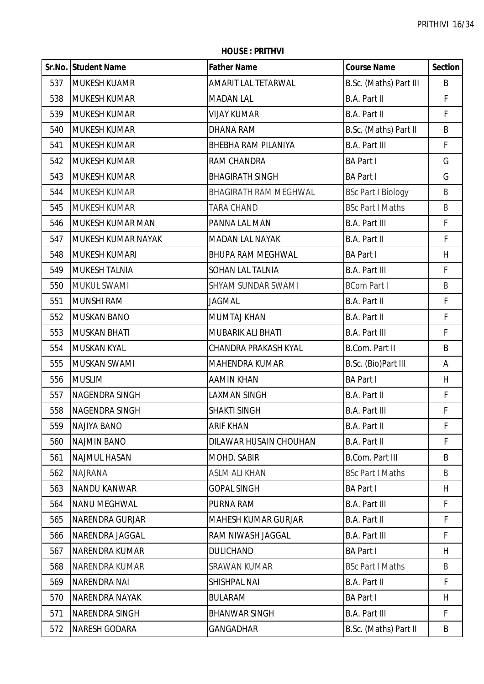|     | Sr.No. Student Name    | <b>Father Name</b>           | <b>Course Name</b>        | <b>Section</b> |
|-----|------------------------|------------------------------|---------------------------|----------------|
| 537 | <b>MUKESH KUAMR</b>    | AMARIT LAL TETARWAL          | B.Sc. (Maths) Part III    | B              |
| 538 | <b>MUKESH KUMAR</b>    | <b>MADAN LAL</b>             | <b>B.A. Part II</b>       | F              |
| 539 | <b>MUKESH KUMAR</b>    | <b>VIJAY KUMAR</b>           | B.A. Part II              | F              |
| 540 | <b>MUKESH KUMAR</b>    | DHANA RAM                    | B.Sc. (Maths) Part II     | B              |
| 541 | <b>MUKESH KUMAR</b>    | <b>BHEBHA RAM PILANIYA</b>   | <b>B.A. Part III</b>      | F.             |
| 542 | <b>MUKESH KUMAR</b>    | RAM CHANDRA                  | <b>BA Part I</b>          | G              |
| 543 | <b>MUKESH KUMAR</b>    | <b>BHAGIRATH SINGH</b>       | <b>BA Part I</b>          | G              |
| 544 | <b>MUKESH KUMAR</b>    | <b>BHAGIRATH RAM MEGHWAL</b> | <b>BSc Part I Biology</b> | B              |
| 545 | <b>MUKESH KUMAR</b>    | <b>TARA CHAND</b>            | <b>BSc Part I Maths</b>   | B              |
| 546 | MUKESH KUMAR MAN       | PANNA LAL MAN                | <b>B.A. Part III</b>      | F              |
| 547 | MUKESH KUMAR NAYAK     | <b>MADAN LAL NAYAK</b>       | B.A. Part II              | $\mathsf F$    |
| 548 | <b>MUKESH KUMARI</b>   | <b>BHUPA RAM MEGHWAL</b>     | <b>BA Part I</b>          | H              |
| 549 | <b>MUKESH TALNIA</b>   | SOHAN LAL TALNIA             | <b>B.A. Part III</b>      | F              |
| 550 | <b>MUKUL SWAMI</b>     | SHYAM SUNDAR SWAMI           | <b>BCom Part I</b>        | B              |
| 551 | <b>MUNSHI RAM</b>      | <b>JAGMAL</b>                | B.A. Part II              | $\mathsf{F}$   |
| 552 | <b>MUSKAN BANO</b>     | <b>MUMTAJ KHAN</b>           | B.A. Part II              | $\mathsf F$    |
| 553 | <b>MUSKAN BHATI</b>    | MUBARIK ALI BHATI            | <b>B.A. Part III</b>      | F              |
| 554 | <b>MUSKAN KYAL</b>     | CHANDRA PRAKASH KYAL         | <b>B.Com. Part II</b>     | B              |
| 555 | MUSKAN SWAMI           | MAHENDRA KUMAR               | B.Sc. (Bio)Part III       | A              |
| 556 | <b>MUSLIM</b>          | <b>AAMIN KHAN</b>            | <b>BA Part I</b>          | H              |
| 557 | NAGENDRA SINGH         | <b>LAXMAN SINGH</b>          | <b>B.A. Part II</b>       | $\mathsf F$    |
| 558 | NAGENDRA SINGH         | <b>SHAKTI SINGH</b>          | <b>B.A. Part III</b>      | F              |
| 559 | NAJIYA BANO            | <b>ARIF KHAN</b>             | B.A. Part II              | F              |
| 560 | <b>NAJMIN BANO</b>     | DILAWAR HUSAIN CHOUHAN       | B.A. Part II              | F.             |
| 561 | <b>NAJMUL HASAN</b>    | MOHD. SABIR                  | B.Com. Part III           | B              |
| 562 | <b>NAJRANA</b>         | <b>ASLM ALI KHAN</b>         | <b>BSc Part I Maths</b>   | B              |
| 563 | NANDU KANWAR           | <b>GOPAL SINGH</b>           | <b>BA Part I</b>          | H              |
| 564 | <b>NANU MEGHWAL</b>    | PURNA RAM                    | <b>B.A. Part III</b>      | F              |
| 565 | <b>NARENDRA GURJAR</b> | <b>MAHESH KUMAR GURJAR</b>   | B.A. Part II              | F.             |
| 566 | NARENDRA JAGGAL        | RAM NIWASH JAGGAL            | <b>B.A. Part III</b>      | F.             |
| 567 | NARENDRA KUMAR         | <b>DULICHAND</b>             | <b>BA Part I</b>          | H              |
| 568 | NARENDRA KUMAR         | <b>SRAWAN KUMAR</b>          | <b>BSc Part I Maths</b>   | B              |
| 569 | <b>NARENDRA NAI</b>    | SHISHPAL NAI                 | B.A. Part II              | F              |
| 570 | <b>NARENDRA NAYAK</b>  | <b>BULARAM</b>               | <b>BA Part I</b>          | H.             |
| 571 | NARENDRA SINGH         | <b>BHANWAR SINGH</b>         | <b>B.A. Part III</b>      | F              |
| 572 | <b>NARESH GODARA</b>   | <b>GANGADHAR</b>             | B.Sc. (Maths) Part II     | B              |

**HOUSE : PRITHVI**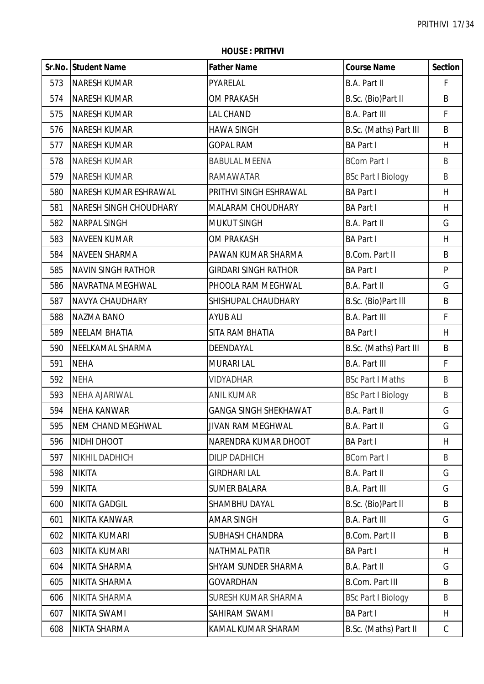**HOUSE : PRITHVI**

|     | Sr.No. Student Name       | <b>Father Name</b>           | <b>Course Name</b>        | <b>Section</b> |
|-----|---------------------------|------------------------------|---------------------------|----------------|
| 573 | <b>NARESH KUMAR</b>       | PYARELAL                     | <b>B.A. Part II</b>       | F              |
| 574 | <b>NARESH KUMAR</b>       | <b>OM PRAKASH</b>            | B.Sc. (Bio)Part II        | B              |
| 575 | <b>NARESH KUMAR</b>       | <b>LAL CHAND</b>             | <b>B.A. Part III</b>      | F              |
| 576 | <b>NARESH KUMAR</b>       | <b>HAWA SINGH</b>            | B.Sc. (Maths) Part III    | B              |
| 577 | <b>NARESH KUMAR</b>       | <b>GOPAL RAM</b>             | <b>BA Part I</b>          | H              |
| 578 | <b>NARESH KUMAR</b>       | <b>BABULAL MEENA</b>         | <b>BCom Part I</b>        | B              |
| 579 | <b>NARESH KUMAR</b>       | <b>RAMAWATAR</b>             | <b>BSc Part I Biology</b> | $\sf B$        |
| 580 | NARESH KUMAR ESHRAWAL     | PRITHVI SINGH ESHRAWAL       | <b>BA Part I</b>          | H              |
| 581 | NARESH SINGH CHOUDHARY    | MALARAM CHOUDHARY            | <b>BA Part I</b>          | H              |
| 582 | <b>NARPAL SINGH</b>       | <b>MUKUT SINGH</b>           | <b>B.A. Part II</b>       | G              |
| 583 | <b>NAVEEN KUMAR</b>       | <b>OM PRAKASH</b>            | <b>BA Part I</b>          | H              |
| 584 | <b>NAVEEN SHARMA</b>      | PAWAN KUMAR SHARMA           | <b>B.Com. Part II</b>     | B              |
| 585 | <b>NAVIN SINGH RATHOR</b> | <b>GIRDARI SINGH RATHOR</b>  | <b>BA Part I</b>          | P              |
| 586 | NAVRATNA MEGHWAL          | PHOOLA RAM MEGHWAL           | B.A. Part II              | G              |
| 587 | NAVYA CHAUDHARY           | SHISHUPAL CHAUDHARY          | B.Sc. (Bio)Part III       | B              |
| 588 | <b>NAZMA BANO</b>         | <b>AYUB ALI</b>              | <b>B.A. Part III</b>      | F              |
| 589 | <b>NEELAM BHATIA</b>      | SITA RAM BHATIA              | <b>BA Part I</b>          | H              |
| 590 | NEELKAMAL SHARMA          | DEENDAYAL                    | B.Sc. (Maths) Part III    | B              |
| 591 | <b>NEHA</b>               | <b>MURARI LAL</b>            | <b>B.A. Part III</b>      | F              |
| 592 | <b>NEHA</b>               | <b>VIDYADHAR</b>             | <b>BSc Part I Maths</b>   | B              |
| 593 | NEHA AJARIWAL             | <b>ANIL KUMAR</b>            | <b>BSc Part I Biology</b> | B              |
| 594 | <b>NEHA KANWAR</b>        | <b>GANGA SINGH SHEKHAWAT</b> | <b>B.A. Part II</b>       | G              |
| 595 | <b>NEM CHAND MEGHWAL</b>  | <b>JIVAN RAM MEGHWAL</b>     | B.A. Part II              | G              |
| 596 | NIDHI DHOOT               | NARENDRA KUMAR DHOOT         | <b>BA Part I</b>          | H              |
| 597 | NIKHIL DADHICH            | <b>DILIP DADHICH</b>         | <b>BCom Part I</b>        | B              |
| 598 | <b>NIKITA</b>             | <b>GIRDHARI LAL</b>          | B.A. Part II              | G              |
| 599 | <b>NIKITA</b>             | <b>SUMER BALARA</b>          | <b>B.A. Part III</b>      | G              |
| 600 | <b>NIKITA GADGIL</b>      | SHAMBHU DAYAL                | B.Sc. (Bio)Part II        | B              |
| 601 | NIKITA KANWAR             | <b>AMAR SINGH</b>            | <b>B.A. Part III</b>      | G              |
| 602 | NIKITA KUMARI             | SUBHASH CHANDRA              | <b>B.Com. Part II</b>     | B              |
| 603 | NIKITA KUMARI             | <b>NATHMAL PATIR</b>         | <b>BA Part I</b>          | H              |
| 604 | NIKITA SHARMA             | SHYAM SUNDER SHARMA          | <b>B.A. Part II</b>       | G              |
| 605 | NIKITA SHARMA             | <b>GOVARDHAN</b>             | <b>B.Com. Part III</b>    | B              |
| 606 | NIKITA SHARMA             | SURESH KUMAR SHARMA          | <b>BSc Part I Biology</b> | B              |
| 607 | NIKITA SWAMI              | SAHIRAM SWAMI                | <b>BA Part I</b>          | H              |
| 608 | NIKTA SHARMA              | KAMAL KUMAR SHARAM           | B.Sc. (Maths) Part II     | $\mathsf C$    |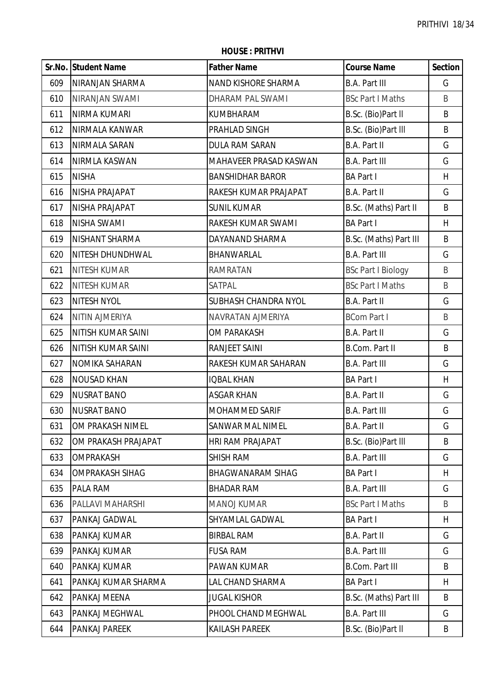|     | Sr.No. Student Name    | <b>Father Name</b>       | <b>Course Name</b>        | <b>Section</b> |
|-----|------------------------|--------------------------|---------------------------|----------------|
| 609 | NIRANJAN SHARMA        | NAND KISHORE SHARMA      | <b>B.A. Part III</b>      | G              |
| 610 | NIRANJAN SWAMI         | DHARAM PAL SWAMI         | <b>BSc Part I Maths</b>   | B              |
| 611 | NIRMA KUMARI           | KUMBHARAM                | B.Sc. (Bio)Part II        | B              |
| 612 | NIRMALA KANWAR         | PRAHLAD SINGH            | B.Sc. (Bio)Part III       | B              |
| 613 | NIRMALA SARAN          | <b>DULA RAM SARAN</b>    | B.A. Part II              | G              |
| 614 | NIRMLA KASWAN          | MAHAVEER PRASAD KASWAN   | <b>B.A. Part III</b>      | G              |
| 615 | <b>NISHA</b>           | <b>BANSHIDHAR BAROR</b>  | <b>BA Part I</b>          | H              |
| 616 | NISHA PRAJAPAT         | RAKESH KUMAR PRAJAPAT    | B.A. Part II              | G              |
| 617 | NISHA PRAJAPAT         | <b>SUNIL KUMAR</b>       | B.Sc. (Maths) Part II     | B              |
| 618 | <b>NISHA SWAMI</b>     | RAKESH KUMAR SWAMI       | <b>BA Part I</b>          | H              |
| 619 | NISHANT SHARMA         | DAYANAND SHARMA          | B.Sc. (Maths) Part III    | $\sf B$        |
| 620 | NITESH DHUNDHWAL       | BHANWARLAL               | <b>B.A. Part III</b>      | G              |
| 621 | <b>NITESH KUMAR</b>    | <b>RAMRATAN</b>          | <b>BSc Part I Biology</b> | B              |
| 622 | <b>NITESH KUMAR</b>    | SATPAL                   | <b>BSc Part I Maths</b>   | B              |
| 623 | NITESH NYOL            | SUBHASH CHANDRA NYOL     | B.A. Part II              | G              |
| 624 | <b>NITIN AJMERIYA</b>  | NAVRATAN AJMERIYA        | <b>BCom Part I</b>        | $\sf B$        |
| 625 | NITISH KUMAR SAINI     | OM PARAKASH              | <b>B.A. Part II</b>       | G              |
| 626 | NITISH KUMAR SAINI     | RANJEET SAINI            | <b>B.Com. Part II</b>     | B              |
| 627 | NOMIKA SAHARAN         | RAKESH KUMAR SAHARAN     | <b>B.A. Part III</b>      | G              |
| 628 | <b>NOUSAD KHAN</b>     | <b>IQBAL KHAN</b>        | <b>BA Part I</b>          | H              |
| 629 | <b>NUSRAT BANO</b>     | <b>ASGAR KHAN</b>        | B.A. Part II              | G              |
| 630 | <b>NUSRAT BANO</b>     | <b>MOHAMMED SARIF</b>    | <b>B.A. Part III</b>      | G              |
| 631 | OM PRAKASH NIMEL       | SANWAR MAL NIMEL         | B.A. Part II              | G              |
| 632 | OM PRAKASH PRAJAPAT    | <b>HRI RAM PRAJAPAT</b>  | B.Sc. (Bio)Part III       | B              |
| 633 | <b>OMPRAKASH</b>       | <b>SHISH RAM</b>         | <b>B.A. Part III</b>      | G              |
| 634 | <b>OMPRAKASH SIHAG</b> | <b>BHAGWANARAM SIHAG</b> | <b>BA Part I</b>          | H              |
| 635 | <b>PALA RAM</b>        | <b>BHADAR RAM</b>        | <b>B.A. Part III</b>      | G              |
| 636 | PALLAVI MAHARSHI       | <b>MANOJ KUMAR</b>       | <b>BSc Part I Maths</b>   | B              |
| 637 | <b>PANKAJ GADWAL</b>   | SHYAMLAL GADWAL          | <b>BA Part I</b>          | H              |
| 638 | <b>PANKAJ KUMAR</b>    | <b>BIRBAL RAM</b>        | B.A. Part II              | G              |
| 639 | PANKAJ KUMAR           | <b>FUSA RAM</b>          | <b>B.A. Part III</b>      | G              |
| 640 | <b>PANKAJ KUMAR</b>    | PAWAN KUMAR              | <b>B.Com. Part III</b>    | B              |
| 641 | PANKAJ KUMAR SHARMA    | LAL CHAND SHARMA         | <b>BA Part I</b>          | H              |
| 642 | <b>PANKAJ MEENA</b>    | <b>JUGAL KISHOR</b>      | B.Sc. (Maths) Part III    | B              |
| 643 | PANKAJ MEGHWAL         | PHOOL CHAND MEGHWAL      | <b>B.A. Part III</b>      | G              |
| 644 | <b>PANKAJ PAREEK</b>   | <b>KAILASH PAREEK</b>    | B.Sc. (Bio)Part II        | B              |

**HOUSE : PRITHVI**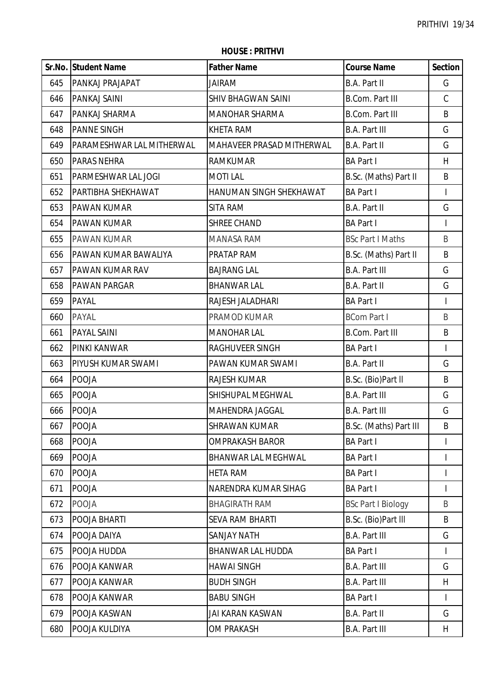**HOUSE : PRITHVI**

|     | Sr.No. Student Name       | <b>Father Name</b>        | <b>Course Name</b>        | <b>Section</b> |
|-----|---------------------------|---------------------------|---------------------------|----------------|
| 645 | <b>PANKAJ PRAJAPAT</b>    | <b>JAIRAM</b>             | B.A. Part II              | G              |
| 646 | PANKAJ SAINI              | <b>SHIV BHAGWAN SAINI</b> | <b>B.Com. Part III</b>    | $\mathsf C$    |
| 647 | PANKAJ SHARMA             | <b>MANOHAR SHARMA</b>     | <b>B.Com. Part III</b>    | B              |
| 648 | <b>PANNE SINGH</b>        | <b>KHETA RAM</b>          | <b>B.A. Part III</b>      | G              |
| 649 | PARAMESHWAR LAL MITHERWAL | MAHAVEER PRASAD MITHERWAL | B.A. Part II              | G              |
| 650 | PARAS NEHRA               | <b>RAMKUMAR</b>           | <b>BA Part I</b>          | H              |
| 651 | PARMESHWAR LAL JOGI       | <b>MOTILAL</b>            | B.Sc. (Maths) Part II     | B              |
| 652 | PARTIBHA SHEKHAWAT        | HANUMAN SINGH SHEKHAWAT   | <b>BA Part I</b>          |                |
| 653 | PAWAN KUMAR               | SITA RAM                  | B.A. Part II              | G              |
| 654 | <b>PAWAN KUMAR</b>        | <b>SHREE CHAND</b>        | <b>BA Part I</b>          | $\overline{1}$ |
| 655 | <b>PAWAN KUMAR</b>        | <b>MANASA RAM</b>         | <b>BSc Part I Maths</b>   | B              |
| 656 | PAWAN KUMAR BAWALIYA      | PRATAP RAM                | B.Sc. (Maths) Part II     | B              |
| 657 | PAWAN KUMAR RAV           | <b>BAJRANG LAL</b>        | <b>B.A. Part III</b>      | G              |
| 658 | PAWAN PARGAR              | <b>BHANWAR LAL</b>        | B.A. Part II              | G              |
| 659 | <b>PAYAL</b>              | RAJESH JALADHARI          | <b>BA Part I</b>          | $\overline{1}$ |
| 660 | PAYAL                     | PRAMOD KUMAR              | <b>BCom Part I</b>        | B              |
| 661 | <b>PAYAL SAINI</b>        | <b>MANOHAR LAL</b>        | <b>B.Com. Part III</b>    | B              |
| 662 | PINKI KANWAR              | RAGHUVEER SINGH           | <b>BA Part I</b>          |                |
| 663 | PIYUSH KUMAR SWAMI        | PAWAN KUMAR SWAMI         | B.A. Part II              | G              |
| 664 | <b>POOJA</b>              | RAJESH KUMAR              | B.Sc. (Bio)Part II        | B              |
| 665 | POOJA                     | SHISHUPAL MEGHWAL         | <b>B.A. Part III</b>      | G              |
| 666 | POOJA                     | MAHENDRA JAGGAL           | <b>B.A. Part III</b>      | G              |
| 667 | <b>POOJA</b>              | <b>SHRAWAN KUMAR</b>      | B.Sc. (Maths) Part III    | B              |
| 668 | <b>POOJA</b>              | <b>OMPRAKASH BAROR</b>    | <b>BA Part I</b>          |                |
| 669 | POOJA                     | BHANWAR LAL MEGHWAL       | <b>BA Part I</b>          | I              |
| 670 | <b>POOJA</b>              | <b>HETA RAM</b>           | <b>BA Part I</b>          |                |
| 671 | <b>POOJA</b>              | NARENDRA KUMAR SIHAG      | <b>BA Part I</b>          |                |
| 672 | POOJA                     | <b>BHAGIRATH RAM</b>      | <b>BSc Part I Biology</b> | B              |
| 673 | POOJA BHARTI              | <b>SEVA RAM BHARTI</b>    | B.Sc. (Bio)Part III       | B              |
| 674 | POOJA DAIYA               | <b>SANJAY NATH</b>        | <b>B.A. Part III</b>      | G              |
| 675 | POOJA HUDDA               | <b>BHANWAR LAL HUDDA</b>  | <b>BA Part I</b>          |                |
| 676 | POOJA KANWAR              | <b>HAWAI SINGH</b>        | <b>B.A. Part III</b>      | G              |
| 677 | POOJA KANWAR              | <b>BUDH SINGH</b>         | <b>B.A. Part III</b>      | H              |
| 678 | POOJA KANWAR              | <b>BABU SINGH</b>         | <b>BA Part I</b>          | T              |
| 679 | POOJA KASWAN              | JAI KARAN KASWAN          | B.A. Part II              | G              |
| 680 | POOJA KULDIYA             | <b>OM PRAKASH</b>         | <b>B.A. Part III</b>      | H              |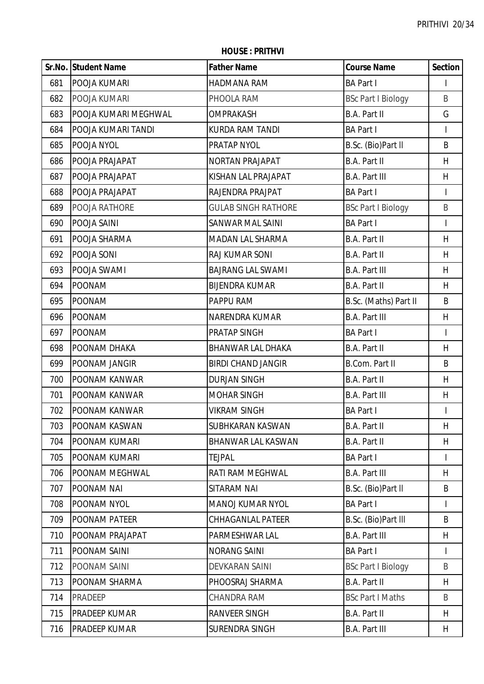|     | Sr.No. Student Name  | <b>Father Name</b>         | <b>Course Name</b>        | <b>Section</b> |
|-----|----------------------|----------------------------|---------------------------|----------------|
| 681 | POOJA KUMARI         | HADMANA RAM                | <b>BA Part I</b>          | L              |
| 682 | POOJA KUMARI         | PHOOLA RAM                 | <b>BSc Part I Biology</b> | B              |
| 683 | POOJA KUMARI MEGHWAL | <b>OMPRAKASH</b>           | <b>B.A. Part II</b>       | G              |
| 684 | POOJA KUMARI TANDI   | <b>KURDA RAM TANDI</b>     | <b>BA Part I</b>          | $\mathbf{I}$   |
| 685 | POOJA NYOL           | PRATAP NYOL                | B.Sc. (Bio)Part II        | B              |
| 686 | POOJA PRAJAPAT       | NORTAN PRAJAPAT            | B.A. Part II              | H              |
| 687 | POOJA PRAJAPAT       | KISHAN LAL PRAJAPAT        | <b>B.A. Part III</b>      | H              |
| 688 | POOJA PRAJAPAT       | RAJENDRA PRAJPAT           | <b>BA Part I</b>          | $\mathbf{I}$   |
| 689 | POOJA RATHORE        | <b>GULAB SINGH RATHORE</b> | <b>BSc Part I Biology</b> | B              |
| 690 | POOJA SAINI          | <b>SANWAR MAL SAINI</b>    | <b>BA Part I</b>          | $\mathbf{I}$   |
| 691 | POOJA SHARMA         | MADAN LAL SHARMA           | <b>B.A. Part II</b>       | H              |
| 692 | POOJA SONI           | RAJ KUMAR SONI             | <b>B.A. Part II</b>       | H              |
| 693 | POOJA SWAMI          | <b>BAJRANG LAL SWAMI</b>   | <b>B.A. Part III</b>      | H              |
| 694 | <b>POONAM</b>        | <b>BIJENDRA KUMAR</b>      | B.A. Part II              | H              |
| 695 | POONAM               | PAPPU RAM                  | B.Sc. (Maths) Part II     | B              |
| 696 | POONAM               | NARENDRA KUMAR             | <b>B.A. Part III</b>      | H              |
| 697 | <b>POONAM</b>        | PRATAP SINGH               | <b>BA Part I</b>          | $\overline{1}$ |
| 698 | POONAM DHAKA         | <b>BHANWAR LAL DHAKA</b>   | <b>B.A. Part II</b>       | H              |
| 699 | POONAM JANGIR        | <b>BIRDI CHAND JANGIR</b>  | B.Com. Part II            | B              |
| 700 | POONAM KANWAR        | <b>DURJAN SINGH</b>        | B.A. Part II              | H              |
| 701 | POONAM KANWAR        | <b>MOHAR SINGH</b>         | <b>B.A. Part III</b>      | H              |
| 702 | POONAM KANWAR        | <b>VIKRAM SINGH</b>        | <b>BA Part I</b>          | $\mathbf{I}$   |
| 703 | <b>POONAM KASWAN</b> | SUBHKARAN KASWAN           | B.A. Part II              | H              |
| 704 | POONAM KUMARI        | BHANWAR LAL KASWAN         | B.A. Part II              | H              |
| 705 | POONAM KUMARI        | <b>TEJPAL</b>              | <b>BA Part I</b>          | $\mathbf{I}$   |
| 706 | POONAM MEGHWAL       | RATI RAM MEGHWAL           | <b>B.A. Part III</b>      | H              |
| 707 | POONAM NAI           | SITARAM NAI                | B.Sc. (Bio)Part II        | B              |
| 708 | POONAM NYOL          | <b>MANOJ KUMAR NYOL</b>    | <b>BA Part I</b>          | $\mathbf{I}$   |
| 709 | POONAM PATEER        | <b>CHHAGANLAL PATEER</b>   | B.Sc. (Bio)Part III       | B              |
| 710 | POONAM PRAJAPAT      | PARMESHWAR LAL             | <b>B.A. Part III</b>      | H              |
| 711 | POONAM SAINI         | <b>NORANG SAINI</b>        | <b>BA Part I</b>          | T              |
| 712 | POONAM SAINI         | <b>DEVKARAN SAINI</b>      | <b>BSc Part I Biology</b> | B              |
| 713 | POONAM SHARMA        | PHOOSRAJ SHARMA            | B.A. Part II              | H.             |
| 714 | PRADEEP              | CHANDRA RAM                | <b>BSc Part I Maths</b>   | B              |
| 715 | <b>PRADEEP KUMAR</b> | RANVEER SINGH              | B.A. Part II              | H              |
| 716 | <b>PRADEEP KUMAR</b> | SURENDRA SINGH             | <b>B.A. Part III</b>      | H              |

**HOUSE : PRITHVI**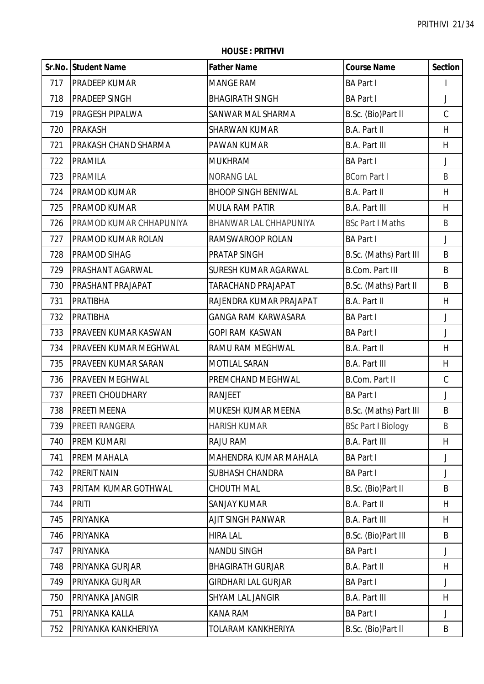**Sr.No. Student Name Father Name Course Name Section** 717 PRADEEP KUMAR MANGE RAM BA Part I I I PRADEEP SINGH BHAGIRATH SINGH BA Part I J PRAGESH PIPALWA SANWAR MAL SHARMA B.Sc. (Bio)Part ll C PRAKASH SHARWAN KUMAR B.A. Part II H PRAKASH CHAND SHARMA PAWAN KUMAR B.A. Part III H PRAMILA MUKHRAM BA Part I J PRAMILA NORANG LAL BCom Part I B 724 PRAMOD KUMAR BHOOP SINGH BENIWAL BART II H PRAMOD KUMAR MULA RAM PATIR B.A. Part III H 726 PRAMOD KUMAR CHHAPUNIYA BHANWAR LAL CHHAPUNIYA BSc Part I Maths I B PRAMOD KUMAR ROLAN RAMSWAROOP ROLAN BA Part I J PRAMOD SIHAG PRATAP SINGH B.Sc. (Maths) Part III B 729 PRASHANT AGARWAL SURESH KUMAR AGARWAL B.Com. Part III B. 730 PRASHANT PRAJAPAT TARACHAND PRAJAPAT B.Sc. (Maths) Part II B PRATIBHA RAJENDRA KUMAR PRAJAPAT B.A. Part II H PRATIBHA GANGA RAM KARWASARA BA Part I J PRAVEEN KUMAR KASWAN GOPI RAM KASWAN BA Part I J PRAVEEN KUMAR MEGHWAL RAMU RAM MEGHWAL B.A. Part II H 735 PRAVEEN KUMAR SARAN MOTILAL SARAN B.A. Part III HH PRAVEEN MEGHWAL PREMCHAND MEGHWAL B.Com. Part II C PREETI CHOUDHARY RANJEET BA Part I J 738 PREETI MEENA MUSESH KUMAR MEENA B.Sc. (Maths) Part III | B 739 PREETI RANGERA HARISH KUMAR BSC Part I Biology B PREM KUMARI RAJU RAM B.A. Part III H 741 PREM MAHALA **IMAHENDRA KUMAR MAHALA** BA Part I J PRERIT NAIN SUBHASH CHANDRA BA Part I J 743 PRITAM KUMAR GOTHWAL CHOUTH MAL CHOUTH MAL B.Sc. (Bio)Part II B PRITI SANJAY KUMAR B.A. Part II H PRIYANKA AJIT SINGH PANWAR B.A. Part III H PRIYANKA HIRA LAL B.Sc. (Bio)Part lll B 747 IPRIYANKA NANDU SINGH BA Part I J PRIYANKA GURJAR BHAGIRATH GURJAR B.A. Part II H PRIYANKA GURJAR GIRDHARI LAL GURJAR BA Part I J PRIYANKA JANGIR SHYAM LAL JANGIR B.A. Part III H PRIYANKA KALLA KANA RAM BA Part I J 752 PRIYANKA KANKHERIYA | TOLARAM KANKHERIYA | B.Sc. (Bio)Part II | B

#### **HOUSE : PRITHVI**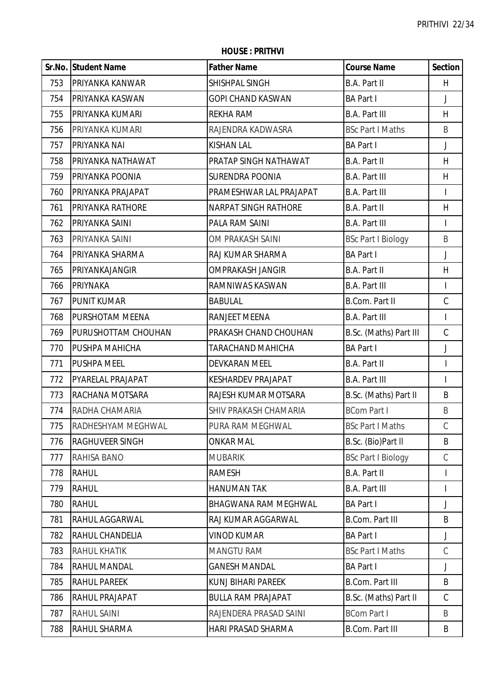|     | Sr.No. Student Name    | <b>Father Name</b>          | <b>Course Name</b>        | <b>Section</b>           |
|-----|------------------------|-----------------------------|---------------------------|--------------------------|
| 753 | <b>PRIYANKA KANWAR</b> | SHISHPAL SINGH              | <b>B.A. Part II</b>       | H                        |
| 754 | PRIYANKA KASWAN        | <b>GOPI CHAND KASWAN</b>    | <b>BA Part I</b>          | $\mathsf J$              |
| 755 | PRIYANKA KUMARI        | <b>REKHA RAM</b>            | <b>B.A. Part III</b>      | H                        |
| 756 | PRIYANKA KUMARI        | RAJENDRA KADWASRA           | <b>BSc Part I Maths</b>   | B                        |
| 757 | PRIYANKA NAI           | <b>KISHAN LAL</b>           | <b>BA Part I</b>          | J                        |
| 758 | PRIYANKA NATHAWAT      | PRATAP SINGH NATHAWAT       | <b>B.A. Part II</b>       | H                        |
| 759 | PRIYANKA POONIA        | <b>SURENDRA POONIA</b>      | <b>B.A. Part III</b>      | H                        |
| 760 | PRIYANKA PRAJAPAT      | PRAMESHWAR LAL PRAJAPAT     | <b>B.A. Part III</b>      | $\overline{\phantom{a}}$ |
| 761 | PRIYANKA RATHORE       | <b>NARPAT SINGH RATHORE</b> | B.A. Part II              | H                        |
| 762 | PRIYANKA SAINI         | PALA RAM SAINI              | <b>B.A. Part III</b>      | $\overline{\phantom{a}}$ |
| 763 | PRIYANKA SAINI         | OM PRAKASH SAINI            | <b>BSc Part I Biology</b> | B                        |
| 764 | PRIYANKA SHARMA        | RAJ KUMAR SHARMA            | <b>BA Part I</b>          | $\mathsf J$              |
| 765 | PRIYANKAJANGIR         | <b>OMPRAKASH JANGIR</b>     | B.A. Part II              | H                        |
| 766 | PRIYNAKA               | RAMNIWAS KASWAN             | <b>B.A. Part III</b>      | I                        |
| 767 | <b>PUNIT KUMAR</b>     | <b>BABULAL</b>              | <b>B.Com. Part II</b>     | $\mathsf C$              |
| 768 | PURSHOTAM MEENA        | RANJEET MEENA               | <b>B.A. Part III</b>      | $\overline{1}$           |
| 769 | PURUSHOTTAM CHOUHAN    | PRAKASH CHAND CHOUHAN       | B.Sc. (Maths) Part III    | $\mathsf C$              |
| 770 | PUSHPA MAHICHA         | TARACHAND MAHICHA           | <b>BA Part I</b>          | J                        |
| 771 | PUSHPA MEEL            | DEVKARAN MEEL               | B.A. Part II              | $\overline{\phantom{a}}$ |
| 772 | PYARELAL PRAJAPAT      | <b>KESHARDEV PRAJAPAT</b>   | <b>B.A. Part III</b>      | $\overline{\phantom{a}}$ |
| 773 | RACHANA MOTSARA        | RAJESH KUMAR MOTSARA        | B.Sc. (Maths) Part II     | B                        |
| 774 | RADHA CHAMARIA         | SHIV PRAKASH CHAMARIA       | <b>BCom Part I</b>        | $\sf B$                  |
| 775 | RADHESHYAM MEGHWAL     | PURA RAM MEGHWAL            | <b>BSc Part I Maths</b>   | C                        |
| 776 | RAGHUVEER SINGH        | <b>ONKAR MAL</b>            | B.Sc. (Bio)Part II        | B                        |
| 777 | RAHISA BANO            | <b>MUBARIK</b>              | <b>BSc Part I Biology</b> | C                        |
| 778 | <b>RAHUL</b>           | <b>RAMESH</b>               | B.A. Part II              |                          |
| 779 | <b>RAHUL</b>           | <b>HANUMAN TAK</b>          | <b>B.A. Part III</b>      | I                        |
| 780 | <b>RAHUL</b>           | <b>BHAGWANA RAM MEGHWAL</b> | <b>BA Part I</b>          | J                        |
| 781 | RAHUL AGGARWAL         | RAJ KUMAR AGGARWAL          | <b>B.Com. Part III</b>    | B                        |
| 782 | RAHUL CHANDELIA        | <b>VINOD KUMAR</b>          | <b>BA Part I</b>          | J                        |
| 783 | <b>RAHUL KHATIK</b>    | <b>MANGTU RAM</b>           | <b>BSc Part I Maths</b>   | $\mathcal{C}$            |
| 784 | RAHUL MANDAL           | <b>GANESH MANDAL</b>        | <b>BA Part I</b>          | J                        |
| 785 | <b>RAHUL PAREEK</b>    | <b>KUNJ BIHARI PAREEK</b>   | <b>B.Com. Part III</b>    | B                        |
| 786 | RAHUL PRAJAPAT         | <b>BULLA RAM PRAJAPAT</b>   | B.Sc. (Maths) Part II     | $\mathsf C$              |
| 787 | RAHUL SAINI            | RAJENDERA PRASAD SAINI      | <b>BCom Part I</b>        | B                        |
| 788 | RAHUL SHARMA           | <b>HARI PRASAD SHARMA</b>   | <b>B.Com. Part III</b>    | B                        |

**HOUSE : PRITHVI**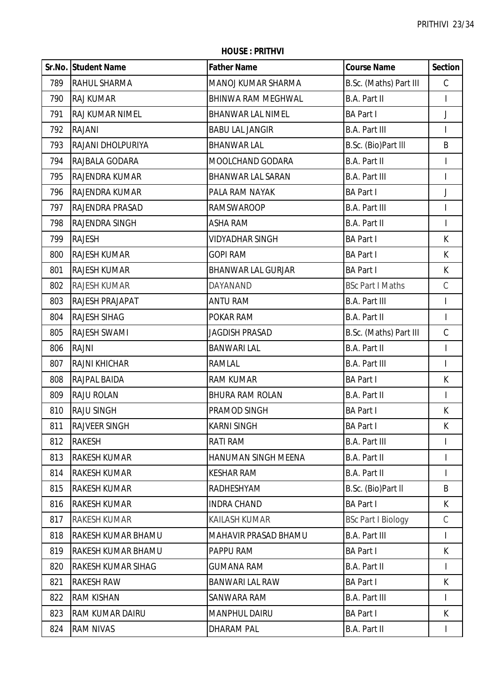|     | Sr.No. Student Name       | <b>Father Name</b>        | <b>Course Name</b>        | <b>Section</b>           |
|-----|---------------------------|---------------------------|---------------------------|--------------------------|
| 789 | <b>RAHUL SHARMA</b>       | MANOJ KUMAR SHARMA        | B.Sc. (Maths) Part III    | $\mathsf C$              |
| 790 | <b>RAJ KUMAR</b>          | <b>BHINWA RAM MEGHWAL</b> | B.A. Part II              | $\mathsf{I}$             |
| 791 | <b>RAJ KUMAR NIMEL</b>    | <b>BHANWAR LAL NIMEL</b>  | <b>BA Part I</b>          | J                        |
| 792 | RAJANI                    | <b>BABU LAL JANGIR</b>    | <b>B.A. Part III</b>      |                          |
| 793 | RAJANI DHOLPURIYA         | <b>BHANWAR LAL</b>        | B.Sc. (Bio)Part III       | $\sf B$                  |
| 794 | RAJBALA GODARA            | MOOLCHAND GODARA          | B.A. Part II              | $\mathsf{I}$             |
| 795 | RAJENDRA KUMAR            | <b>BHANWAR LAL SARAN</b>  | <b>B.A. Part III</b>      | I                        |
| 796 | <b>RAJENDRA KUMAR</b>     | PALA RAM NAYAK            | <b>BA Part I</b>          | J                        |
| 797 | <b>RAJENDRA PRASAD</b>    | <b>RAMSWAROOP</b>         | <b>B.A. Part III</b>      |                          |
| 798 | <b>RAJENDRA SINGH</b>     | <b>ASHA RAM</b>           | B.A. Part II              | $\overline{1}$           |
| 799 | <b>RAJESH</b>             | <b>VIDYADHAR SINGH</b>    | <b>BA Part I</b>          | К                        |
| 800 | <b>RAJESH KUMAR</b>       | <b>GOPI RAM</b>           | <b>BA Part I</b>          | K                        |
| 801 | <b>RAJESH KUMAR</b>       | <b>BHANWAR LAL GURJAR</b> | <b>BA Part I</b>          | K                        |
| 802 | <b>RAJESH KUMAR</b>       | DAYANAND                  | <b>BSc Part I Maths</b>   | $\mathcal{C}$            |
| 803 | RAJESH PRAJAPAT           | <b>ANTU RAM</b>           | <b>B.A. Part III</b>      | $\overline{\phantom{a}}$ |
| 804 | <b>RAJESH SIHAG</b>       | POKAR RAM                 | B.A. Part II              | $\overline{1}$           |
| 805 | <b>RAJESH SWAMI</b>       | <b>JAGDISH PRASAD</b>     | B.Sc. (Maths) Part III    | $\mathsf C$              |
| 806 | <b>RAJNI</b>              | <b>BANWARI LAL</b>        | B.A. Part II              | T                        |
| 807 | <b>RAJNI KHICHAR</b>      | RAMLAL                    | <b>B.A. Part III</b>      |                          |
| 808 | RAJPAL BAIDA              | <b>RAM KUMAR</b>          | <b>BA Part I</b>          | K                        |
| 809 | <b>RAJU ROLAN</b>         | <b>BHURA RAM ROLAN</b>    | B.A. Part II              | T                        |
| 810 | <b>RAJU SINGH</b>         | PRAMOD SINGH              | <b>BA Part I</b>          | К                        |
| 811 | <b>RAJVEER SINGH</b>      | KARNI SINGH               | <b>BA Part I</b>          | K                        |
| 812 | <b>RAKESH</b>             | RATI RAM                  | <b>B.A. Part III</b>      |                          |
| 813 | <b>RAKESH KUMAR</b>       | HANUMAN SINGH MEENA       | B.A. Part II              | $\mathsf I$              |
| 814 | <b>RAKESH KUMAR</b>       | <b>KESHAR RAM</b>         | B.A. Part II              | T                        |
| 815 | <b>RAKESH KUMAR</b>       | RADHESHYAM                | B.Sc. (Bio)Part II        | B                        |
| 816 | <b>RAKESH KUMAR</b>       | <b>INDRA CHAND</b>        | <b>BA Part I</b>          | K                        |
| 817 | <b>RAKESH KUMAR</b>       | KAILASH KUMAR             | <b>BSc Part I Biology</b> | $\mathsf C$              |
| 818 | RAKESH KUMAR BHAMU        | MAHAVIR PRASAD BHAMU      | <b>B.A. Part III</b>      | $\overline{1}$           |
| 819 | RAKESH KUMAR BHAMU        | PAPPU RAM                 | <b>BA Part I</b>          | К                        |
| 820 | <b>RAKESH KUMAR SIHAG</b> | <b>GUMANA RAM</b>         | B.A. Part II              | $\mathbf{I}$             |
| 821 | <b>RAKESH RAW</b>         | <b>BANWARI LAL RAW</b>    | <b>BA Part I</b>          | K                        |
| 822 | <b>RAM KISHAN</b>         | SANWARA RAM               | <b>B.A. Part III</b>      |                          |
| 823 | <b>RAM KUMAR DAIRU</b>    | <b>MANPHUL DAIRU</b>      | <b>BA Part I</b>          | К                        |
| 824 | <b>RAM NIVAS</b>          | <b>DHARAM PAL</b>         | B.A. Part II              | $\mathsf{I}$             |

**HOUSE : PRITHVI**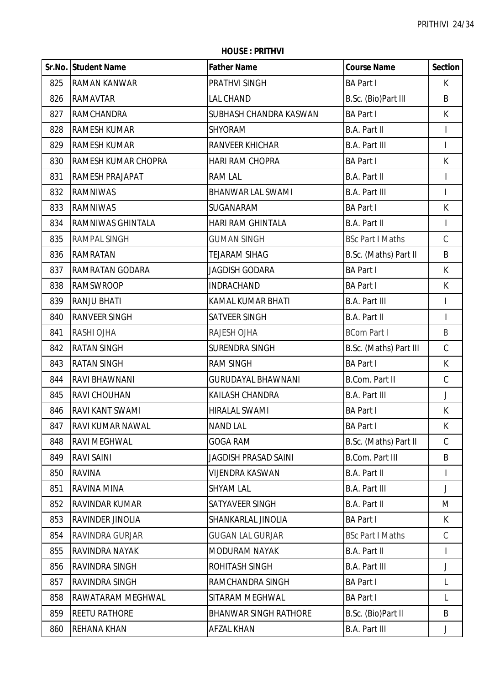**HOUSE : PRITHVI**

|     | Sr.No. Student Name     | <b>Father Name</b>           | <b>Course Name</b>      | <b>Section</b>           |
|-----|-------------------------|------------------------------|-------------------------|--------------------------|
| 825 | <b>RAMAN KANWAR</b>     | PRATHVI SINGH                | <b>BA Part I</b>        | K                        |
| 826 | <b>RAMAVTAR</b>         | <b>LAL CHAND</b>             | B.Sc. (Bio)Part III     | B                        |
| 827 | <b>RAMCHANDRA</b>       | SUBHASH CHANDRA KASWAN       | <b>BA Part I</b>        | K                        |
| 828 | RAMESH KUMAR            | <b>SHYORAM</b>               | B.A. Part II            | $\mathsf{I}$             |
| 829 | <b>RAMESH KUMAR</b>     | RANVEER KHICHAR              | <b>B.A. Part III</b>    | $\overline{1}$           |
| 830 | RAMESH KUMAR CHOPRA     | <b>HARI RAM CHOPRA</b>       | <b>BA Part I</b>        | K                        |
| 831 | RAMESH PRAJAPAT         | <b>RAM LAL</b>               | <b>B.A. Part II</b>     | I                        |
| 832 | <b>RAMNIWAS</b>         | <b>BHANWAR LAL SWAMI</b>     | <b>B.A. Part III</b>    |                          |
| 833 | <b>RAMNIWAS</b>         | SUGANARAM                    | <b>BA Part I</b>        | K                        |
| 834 | RAMNIWAS GHINTALA       | <b>HARI RAM GHINTALA</b>     | <b>B.A. Part II</b>     | $\mathsf I$              |
| 835 | <b>RAMPAL SINGH</b>     | <b>GUMAN SINGH</b>           | <b>BSc Part I Maths</b> | $\mathsf C$              |
| 836 | RAMRATAN                | <b>TEJARAM SIHAG</b>         | B.Sc. (Maths) Part II   | B                        |
| 837 | <b>RAMRATAN GODARA</b>  | <b>JAGDISH GODARA</b>        | <b>BA Part I</b>        | K                        |
| 838 | <b>RAMSWROOP</b>        | <b>INDRACHAND</b>            | <b>BA Part I</b>        | K                        |
| 839 | <b>RANJU BHATI</b>      | <b>KAMAL KUMAR BHATI</b>     | <b>B.A. Part III</b>    | $\overline{\phantom{a}}$ |
| 840 | <b>RANVEER SINGH</b>    | SATVEER SINGH                | B.A. Part II            | $\overline{\phantom{a}}$ |
| 841 | RASHI OJHA              | RAJESH OJHA                  | <b>BCom Part I</b>      | B                        |
| 842 | <b>RATAN SINGH</b>      | <b>SURENDRA SINGH</b>        | B.Sc. (Maths) Part III  | $\mathsf C$              |
| 843 | <b>RATAN SINGH</b>      | <b>RAM SINGH</b>             | <b>BA Part I</b>        | K                        |
| 844 | RAVI BHAWNANI           | <b>GURUDAYAL BHAWNANI</b>    | <b>B.Com. Part II</b>   | $\mathsf C$              |
| 845 | <b>RAVI CHOUHAN</b>     | KAILASH CHANDRA              | <b>B.A. Part III</b>    | J                        |
| 846 | RAVI KANT SWAMI         | <b>HIRALAL SWAMI</b>         | <b>BA Part I</b>        | K                        |
| 847 | <b>RAVI KUMAR NAWAL</b> | <b>NAND LAL</b>              | <b>BA Part I</b>        | K                        |
| 848 | RAVI MEGHWAL            | <b>GOGA RAM</b>              | B.Sc. (Maths) Part II   | $\mathcal{C}$            |
| 849 | RAVI SAINI              | <b>JAGDISH PRASAD SAINI</b>  | <b>B.Com. Part III</b>  | B                        |
| 850 | <b>RAVINA</b>           | <b>VIJENDRA KASWAN</b>       | <b>B.A. Part II</b>     | I                        |
| 851 | RAVINA MINA             | <b>SHYAM LAL</b>             | <b>B.A. Part III</b>    | J                        |
| 852 | <b>RAVINDAR KUMAR</b>   | SATYAVEER SINGH              | B.A. Part II            | M                        |
| 853 | RAVINDER JINOLIA        | SHANKARLAL JINOLIA           | <b>BA Part I</b>        | K                        |
| 854 | RAVINDRA GURJAR         | <b>GUGAN LAL GURJAR</b>      | <b>BSc Part I Maths</b> | $\mathsf C$              |
| 855 | RAVINDRA NAYAK          | <b>MODURAM NAYAK</b>         | <b>B.A. Part II</b>     | I                        |
| 856 | RAVINDRA SINGH          | ROHITASH SINGH               | <b>B.A. Part III</b>    | J                        |
| 857 | RAVINDRA SINGH          | RAMCHANDRA SINGH             | <b>BA Part I</b>        | L                        |
| 858 | RAWATARAM MEGHWAL       | SITARAM MEGHWAL              | <b>BA Part I</b>        | L                        |
| 859 | <b>REETU RATHORE</b>    | <b>BHANWAR SINGH RATHORE</b> | B.Sc. (Bio)Part II      | B                        |
| 860 | REHANA KHAN             | <b>AFZAL KHAN</b>            | <b>B.A. Part III</b>    | J                        |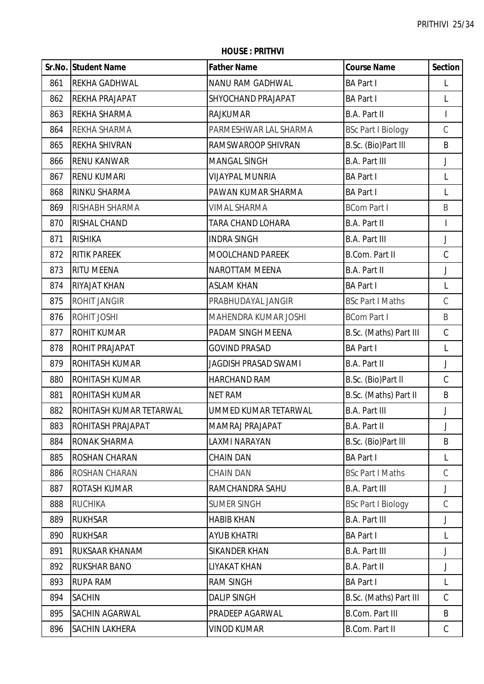|     | Sr.No. Student Name      | <b>Father Name</b>          | <b>Course Name</b>        | <b>Section</b> |
|-----|--------------------------|-----------------------------|---------------------------|----------------|
| 861 | <b>REKHA GADHWAL</b>     | NANU RAM GADHWAL            | <b>BA Part I</b>          | L              |
| 862 | <b>REKHA PRAJAPAT</b>    | SHYOCHAND PRAJAPAT          | <b>BA Part I</b>          | L              |
| 863 | <b>REKHA SHARMA</b>      | <b>RAJKUMAR</b>             | B.A. Part II              | $\overline{1}$ |
| 864 | <b>REKHA SHARMA</b>      | PARMESHWAR LAL SHARMA       | <b>BSc Part I Biology</b> | $\mathsf C$    |
| 865 | <b>REKHA SHIVRAN</b>     | RAMSWAROOP SHIVRAN          | B.Sc. (Bio)Part III       | B              |
| 866 | <b>RENU KANWAR</b>       | <b>MANGAL SINGH</b>         | <b>B.A. Part III</b>      | J              |
| 867 | <b>RENU KUMARI</b>       | <b>VIJAYPAL MUNRIA</b>      | <b>BA Part I</b>          | L              |
| 868 | <b>RINKU SHARMA</b>      | PAWAN KUMAR SHARMA          | <b>BA Part I</b>          | L              |
| 869 | RISHABH SHARMA           | <b>VIMAL SHARMA</b>         | <b>BCom Part I</b>        | B              |
| 870 | <b>RISHAL CHAND</b>      | TARA CHAND LOHARA           | B.A. Part II              | $\mathsf I$    |
| 871 | <b>RISHIKA</b>           | <b>INDRA SINGH</b>          | <b>B.A. Part III</b>      | J              |
| 872 | <b>RITIK PAREEK</b>      | <b>MOOLCHAND PAREEK</b>     | B.Com. Part II            | $\mathsf C$    |
| 873 | <b>RITU MEENA</b>        | NAROTTAM MEENA              | B.A. Part II              | $\mathsf J$    |
| 874 | <b>RIYAJAT KHAN</b>      | <b>ASLAM KHAN</b>           | <b>BA Part I</b>          | L              |
| 875 | <b>ROHIT JANGIR</b>      | PRABHUDAYAL JANGIR          | <b>BSc Part I Maths</b>   | $\mathsf C$    |
| 876 | ROHIT JOSHI              | MAHENDRA KUMAR JOSHI        | <b>BCom Part I</b>        | B              |
| 877 | <b>ROHIT KUMAR</b>       | PADAM SINGH MEENA           | B.Sc. (Maths) Part III    | $\mathsf C$    |
| 878 | <b>ROHIT PRAJAPAT</b>    | <b>GOVIND PRASAD</b>        | <b>BA Part I</b>          | L              |
| 879 | <b>ROHITASH KUMAR</b>    | <b>JAGDISH PRASAD SWAMI</b> | B.A. Part II              | J              |
| 880 | <b>ROHITASH KUMAR</b>    | <b>HARCHAND RAM</b>         | B.Sc. (Bio)Part II        | $\mathsf C$    |
| 881 | <b>ROHITASH KUMAR</b>    | <b>NET RAM</b>              | B.Sc. (Maths) Part II     | B              |
| 882 | ROHITASH KUMAR TETARWAL  | UMMED KUMAR TETARWAL        | <b>B.A. Part III</b>      | J              |
| 883 | <b>ROHITASH PRAJAPAT</b> | MAMRAJ PRAJAPAT             | B.A. Part II              | J              |
| 884 | <b>RONAK SHARMA</b>      | <b>LAXMI NARAYAN</b>        | B.Sc. (Bio)Part III       | B              |
| 885 | <b>ROSHAN CHARAN</b>     | <b>CHAIN DAN</b>            | <b>BA Part I</b>          | L              |
| 886 | <b>ROSHAN CHARAN</b>     | <b>CHAIN DAN</b>            | <b>BSc Part I Maths</b>   | $\mathcal{C}$  |
| 887 | <b>ROTASH KUMAR</b>      | RAMCHANDRA SAHU             | <b>B.A. Part III</b>      | J              |
| 888 | <b>RUCHIKA</b>           | <b>SUMER SINGH</b>          | <b>BSc Part I Biology</b> | $\mathsf C$    |
| 889 | <b>RUKHSAR</b>           | <b>HABIB KHAN</b>           | <b>B.A. Part III</b>      | J              |
| 890 | <b>RUKHSAR</b>           | <b>AYUB KHATRI</b>          | <b>BA Part I</b>          | L              |
| 891 | <b>RUKSAAR KHANAM</b>    | <b>SIKANDER KHAN</b>        | <b>B.A. Part III</b>      | J              |
| 892 | <b>RUKSHAR BANO</b>      | LIYAKAT KHAN                | B.A. Part II              | J              |
| 893 | <b>RUPA RAM</b>          | <b>RAM SINGH</b>            | <b>BA Part I</b>          | L              |
| 894 | <b>SACHIN</b>            | <b>DALIP SINGH</b>          | B.Sc. (Maths) Part III    | $\mathcal{C}$  |
| 895 | <b>SACHIN AGARWAL</b>    | PRADEEP AGARWAL             | <b>B.Com. Part III</b>    | B              |
| 896 | <b>SACHIN LAKHERA</b>    | <b>VINOD KUMAR</b>          | B.Com. Part II            | C              |

**HOUSE : PRITHVI**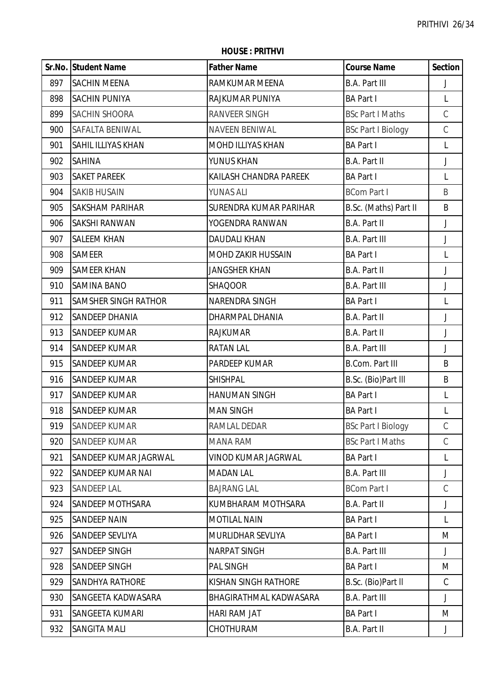**HOUSE : PRITHVI**

|     | Sr.No. Student Name         | <b>Father Name</b>        | <b>Course Name</b>        | <b>Section</b> |
|-----|-----------------------------|---------------------------|---------------------------|----------------|
| 897 | <b>SACHIN MEENA</b>         | RAMKUMAR MEENA            | <b>B.A. Part III</b>      | J              |
| 898 | SACHIN PUNIYA               | RAJKUMAR PUNIYA           | <b>BA Part I</b>          | L              |
| 899 | SACHIN SHOORA               | <b>RANVEER SINGH</b>      | <b>BSc Part I Maths</b>   | $\mathsf C$    |
| 900 | SAFALTA BENIWAL             | <b>NAVEEN BENIWAL</b>     | <b>BSc Part I Biology</b> | $\mathsf C$    |
| 901 | SAHIL ILLIYAS KHAN          | MOHD ILLIYAS KHAN         | <b>BA Part I</b>          | L              |
| 902 | SAHINA                      | YUNUS KHAN                | B.A. Part II              | J              |
| 903 | <b>SAKET PAREEK</b>         | KAILASH CHANDRA PAREEK    | <b>BA Part I</b>          | L              |
| 904 | <b>SAKIB HUSAIN</b>         | <b>YUNAS ALI</b>          | <b>BCom Part I</b>        | B              |
| 905 | <b>SAKSHAM PARIHAR</b>      | SURENDRA KUMAR PARIHAR    | B.Sc. (Maths) Part II     | B              |
| 906 | <b>SAKSHI RANWAN</b>        | YOGENDRA RANWAN           | B.A. Part II              | $\mathsf J$    |
| 907 | <b>SALEEM KHAN</b>          | <b>DAUDALI KHAN</b>       | <b>B.A. Part III</b>      | J              |
| 908 | <b>SAMEER</b>               | <b>MOHD ZAKIR HUSSAIN</b> | <b>BA Part I</b>          | L              |
| 909 | <b>SAMEER KHAN</b>          | <b>JANGSHER KHAN</b>      | B.A. Part II              | J              |
| 910 | <b>SAMINA BANO</b>          | <b>SHAQOOR</b>            | <b>B.A. Part III</b>      | J              |
| 911 | <b>SAMSHER SINGH RATHOR</b> | NARENDRA SINGH            | <b>BA Part I</b>          | L              |
| 912 | <b>SANDEEP DHANIA</b>       | DHARMPAL DHANIA           | B.A. Part II              | J              |
| 913 | SANDEEP KUMAR               | <b>RAJKUMAR</b>           | <b>B.A. Part II</b>       | J              |
| 914 | <b>SANDEEP KUMAR</b>        | <b>RATAN LAL</b>          | <b>B.A. Part III</b>      | J              |
| 915 | <b>SANDEEP KUMAR</b>        | PARDEEP KUMAR             | <b>B.Com. Part III</b>    | B              |
| 916 | SANDEEP KUMAR               | <b>SHISHPAL</b>           | B.Sc. (Bio)Part III       | B              |
| 917 | <b>SANDEEP KUMAR</b>        | <b>HANUMAN SINGH</b>      | <b>BA Part I</b>          | L              |
| 918 | SANDEEP KUMAR               | <b>MAN SINGH</b>          | <b>BA Part I</b>          | L              |
| 919 | <b>SANDEEP KUMAR</b>        | RAMLAL DEDAR              | <b>BSc Part I Biology</b> | C              |
| 920 | SANDEEP KUMAR               | <b>MANA RAM</b>           | <b>BSc Part I Maths</b>   | $\mathcal{C}$  |
| 921 | SANDEEP KUMAR JAGRWAL       | VINOD KUMAR JAGRWAL       | <b>BA Part I</b>          | L              |
| 922 | SANDEEP KUMAR NAI           | <b>MADAN LAL</b>          | <b>B.A. Part III</b>      | J              |
| 923 | SANDEEP LAL                 | <b>BAJRANG LAL</b>        | <b>BCom Part I</b>        | C              |
| 924 | SANDEEP MOTHSARA            | KUMBHARAM MOTHSARA        | B.A. Part II              | J              |
| 925 | <b>SANDEEP NAIN</b>         | <b>MOTILAL NAIN</b>       | <b>BA Part I</b>          | L              |
| 926 | SANDEEP SEVLIYA             | MURLIDHAR SEVLIYA         | <b>BA Part I</b>          | M              |
| 927 | SANDEEP SINGH               | <b>NARPAT SINGH</b>       | <b>B.A. Part III</b>      | J              |
| 928 | SANDEEP SINGH               | <b>PAL SINGH</b>          | <b>BA Part I</b>          | M              |
| 929 | SANDHYA RATHORE             | KISHAN SINGH RATHORE      | B.Sc. (Bio)Part II        | $\mathsf C$    |
| 930 | SANGEETA KADWASARA          | BHAGIRATHMAL KADWASARA    | <b>B.A. Part III</b>      | J              |
| 931 | SANGEETA KUMARI             | HARI RAM JAT              | <b>BA Part I</b>          | M              |
| 932 | SANGITA MALI                | CHOTHURAM                 | B.A. Part II              | J              |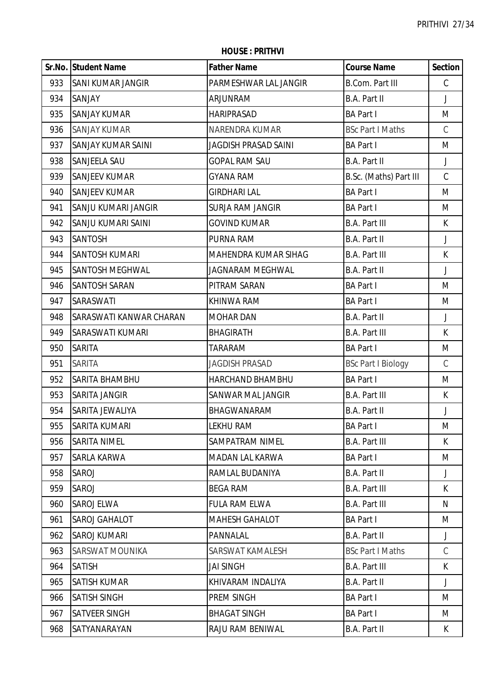|     | Sr.No. Student Name       | <b>Father Name</b>       | <b>Course Name</b>        | <b>Section</b> |
|-----|---------------------------|--------------------------|---------------------------|----------------|
| 933 | <b>SANI KUMAR JANGIR</b>  | PARMESHWAR LAL JANGIR    | <b>B.Com. Part III</b>    | $\mathsf C$    |
| 934 | SANJAY                    | ARJUNRAM                 | B.A. Part II              | $\mathsf{J}$   |
| 935 | <b>SANJAY KUMAR</b>       | <b>HARIPRASAD</b>        | <b>BA Part I</b>          | M              |
| 936 | <b>SANJAY KUMAR</b>       | NARENDRA KUMAR           | <b>BSc Part I Maths</b>   | $\mathcal{C}$  |
| 937 | <b>SANJAY KUMAR SAINI</b> | JAGDISH PRASAD SAINI     | <b>BA Part I</b>          | M              |
| 938 | <b>SANJEELA SAU</b>       | <b>GOPAL RAM SAU</b>     | B.A. Part II              | $\mathsf{J}$   |
| 939 | <b>SANJEEV KUMAR</b>      | <b>GYANA RAM</b>         | B.Sc. (Maths) Part III    | $\mathcal{C}$  |
| 940 | <b>SANJEEV KUMAR</b>      | <b>GIRDHARI LAL</b>      | <b>BA Part I</b>          | M              |
| 941 | SANJU KUMARI JANGIR       | <b>SURJA RAM JANGIR</b>  | <b>BA Part I</b>          | M              |
| 942 | SANJU KUMARI SAINI        | <b>GOVIND KUMAR</b>      | <b>B.A. Part III</b>      | $\mathsf{K}$   |
| 943 | <b>SANTOSH</b>            | PURNA RAM                | B.A. Part II              | J              |
| 944 | <b>SANTOSH KUMARI</b>     | MAHENDRA KUMAR SIHAG     | <b>B.A. Part III</b>      | K              |
| 945 | <b>SANTOSH MEGHWAL</b>    | JAGNARAM MEGHWAL         | B.A. Part II              | J              |
| 946 | <b>SANTOSH SARAN</b>      | PITRAM SARAN             | <b>BA Part I</b>          | M              |
| 947 | SARASWATI                 | KHINWA RAM               | <b>BA Part I</b>          | M              |
| 948 | SARASWATI KANWAR CHARAN   | <b>MOHAR DAN</b>         | B.A. Part II              | $\mathsf J$    |
| 949 | <b>SARASWATI KUMARI</b>   | <b>BHAGIRATH</b>         | <b>B.A. Part III</b>      | K              |
| 950 | <b>SARITA</b>             | TARARAM                  | <b>BA Part I</b>          | M              |
| 951 | <b>SARITA</b>             | <b>JAGDISH PRASAD</b>    | <b>BSc Part I Biology</b> | $\mathsf C$    |
| 952 | <b>SARITA BHAMBHU</b>     | HARCHAND BHAMBHU         | <b>BA Part I</b>          | M              |
| 953 | <b>SARITA JANGIR</b>      | <b>SANWAR MAL JANGIR</b> | <b>B.A. Part III</b>      | K              |
| 954 | SARITA JEWALIYA           | BHAGWANARAM              | B.A. Part II              | J              |
| 955 | <b>SARITA KUMARI</b>      | <b>LEKHU RAM</b>         | <b>BA Part I</b>          | M              |
| 956 | <b>SARITA NIMEL</b>       | <b>SAMPATRAM NIMEL</b>   | <b>B.A. Part III</b>      | K              |
| 957 | <b>SARLA KARWA</b>        | MADAN LAL KARWA          | <b>BA Part I</b>          | M              |
| 958 | <b>SAROJ</b>              | RAMLAL BUDANIYA          | B.A. Part II              | J              |
| 959 | <b>SAROJ</b>              | <b>BEGA RAM</b>          | <b>B.A. Part III</b>      | K              |
| 960 | <b>SAROJ ELWA</b>         | <b>FULA RAM ELWA</b>     | <b>B.A. Part III</b>      | N              |
| 961 | <b>SAROJ GAHALOT</b>      | <b>MAHESH GAHALOT</b>    | <b>BA Part I</b>          | M              |
| 962 | <b>SAROJ KUMARI</b>       | PANNALAL                 | B.A. Part II              | J              |
| 963 | <b>SARSWAT MOUNIKA</b>    | SARSWAT KAMALESH         | <b>BSc Part I Maths</b>   | $\mathcal{C}$  |
| 964 | <b>SATISH</b>             | JAI SINGH                | <b>B.A. Part III</b>      | K              |
| 965 | <b>SATISH KUMAR</b>       | KHIVARAM INDALIYA        | B.A. Part II              | J              |
| 966 | <b>SATISH SINGH</b>       | PREM SINGH               | <b>BA Part I</b>          | M              |
| 967 | <b>SATVEER SINGH</b>      | <b>BHAGAT SINGH</b>      | <b>BA Part I</b>          | M              |
| 968 | SATYANARAYAN              | RAJU RAM BENIWAL         | B.A. Part II              | K              |

**HOUSE : PRITHVI**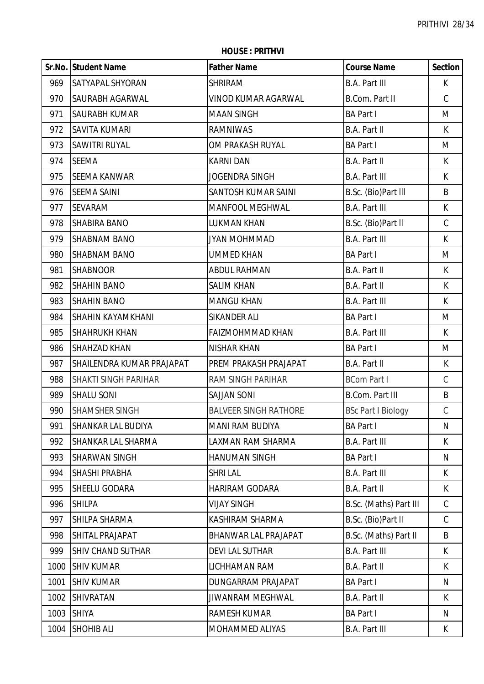|      | Sr.No. Student Name       | <b>Father Name</b>           | <b>Course Name</b>        | <b>Section</b> |
|------|---------------------------|------------------------------|---------------------------|----------------|
| 969  | <b>SATYAPAL SHYORAN</b>   | <b>SHRIRAM</b>               | <b>B.A. Part III</b>      | K              |
| 970  | SAURABH AGARWAL           | <b>VINOD KUMAR AGARWAL</b>   | <b>B.Com. Part II</b>     | $\mathsf C$    |
| 971  | <b>SAURABH KUMAR</b>      | <b>MAAN SINGH</b>            | <b>BA Part I</b>          | M              |
| 972  | <b>SAVITA KUMARI</b>      | <b>RAMNIWAS</b>              | <b>B.A. Part II</b>       | К              |
| 973  | SAWITRI RUYAL             | OM PRAKASH RUYAL             | <b>BA Part I</b>          | M              |
| 974  | <b>SEEMA</b>              | <b>KARNI DAN</b>             | B.A. Part II              | $\sf K$        |
| 975  | <b>SEEMA KANWAR</b>       | <b>JOGENDRA SINGH</b>        | <b>B.A. Part III</b>      | K              |
| 976  | <b>SEEMA SAINI</b>        | SANTOSH KUMAR SAINI          | B.Sc. (Bio)Part III       | B              |
| 977  | <b>SEVARAM</b>            | MANFOOL MEGHWAL              | <b>B.A. Part III</b>      | K              |
| 978  | <b>SHABIRA BANO</b>       | <b>LUKMAN KHAN</b>           | B.Sc. (Bio)Part II        | $\mathsf C$    |
| 979  | <b>SHABNAM BANO</b>       | JYAN MOHMMAD                 | <b>B.A. Part III</b>      | K              |
| 980  | <b>SHABNAM BANO</b>       | <b>UMMED KHAN</b>            | <b>BA Part I</b>          | M              |
| 981  | <b>SHABNOOR</b>           | ABDUL RAHMAN                 | <b>B.A. Part II</b>       | K              |
| 982  | <b>SHAHIN BANO</b>        | <b>SALIM KHAN</b>            | B.A. Part II              | K              |
| 983  | <b>SHAHIN BANO</b>        | <b>MANGU KHAN</b>            | <b>B.A. Part III</b>      | K              |
| 984  | <b>SHAHIN KAYAMKHANI</b>  | SIKANDER ALI                 | <b>BA Part I</b>          | M              |
| 985  | <b>SHAHRUKH KHAN</b>      | <b>FAIZMOHMMAD KHAN</b>      | <b>B.A. Part III</b>      | K              |
| 986  | SHAHZAD KHAN              | <b>NISHAR KHAN</b>           | <b>BA Part I</b>          | M              |
| 987  | SHAILENDRA KUMAR PRAJAPAT | PREM PRAKASH PRAJAPAT        | B.A. Part II              | К              |
| 988  | SHAKTI SINGH PARIHAR      | <b>RAM SINGH PARIHAR</b>     | <b>BCom Part I</b>        | $\mathsf C$    |
| 989  | <b>SHALU SONI</b>         | <b>SAJJAN SONI</b>           | <b>B.Com. Part III</b>    | B              |
| 990  | <b>SHAMSHER SINGH</b>     | <b>BALVEER SINGH RATHORE</b> | <b>BSc Part I Biology</b> | $\mathsf C$    |
| 991  | SHANKAR LAL BUDIYA        | MANI RAM BUDIYA              | <b>BA Part I</b>          | N              |
| 992  | SHANKAR LAL SHARMA        | LAXMAN RAM SHARMA            | <b>B.A. Part III</b>      | K              |
| 993  | <b>SHARWAN SINGH</b>      | <b>HANUMAN SINGH</b>         | <b>BA Part I</b>          | N              |
| 994  | SHASHI PRABHA             | <b>SHRI LAL</b>              | <b>B.A. Part III</b>      | K              |
| 995  | SHEELU GODARA             | <b>HARIRAM GODARA</b>        | <b>B.A. Part II</b>       | K              |
| 996  | <b>SHILPA</b>             | <b>VIJAY SINGH</b>           | B.Sc. (Maths) Part III    | $\mathcal{C}$  |
| 997  | SHILPA SHARMA             | KASHIRAM SHARMA              | B.Sc. (Bio)Part II        | $\mathcal{C}$  |
| 998  | SHITAL PRAJAPAT           | BHANWAR LAL PRAJAPAT         | B.Sc. (Maths) Part II     | B              |
| 999  | <b>SHIV CHAND SUTHAR</b>  | <b>DEVI LAL SUTHAR</b>       | <b>B.A. Part III</b>      | K              |
| 1000 | <b>SHIV KUMAR</b>         | LICHHAMAN RAM                | B.A. Part II              | K              |
| 1001 | <b>SHIV KUMAR</b>         | DUNGARRAM PRAJAPAT           | <b>BA Part I</b>          | N              |
| 1002 | <b>SHIVRATAN</b>          | <b>JIWANRAM MEGHWAL</b>      | B.A. Part II              | K              |
| 1003 | <b>SHIYA</b>              | <b>RAMESH KUMAR</b>          | <b>BA Part I</b>          | N              |
| 1004 | <b>SHOHIB ALI</b>         | MOHAMMED ALIYAS              | <b>B.A. Part III</b>      | K              |

**HOUSE : PRITHVI**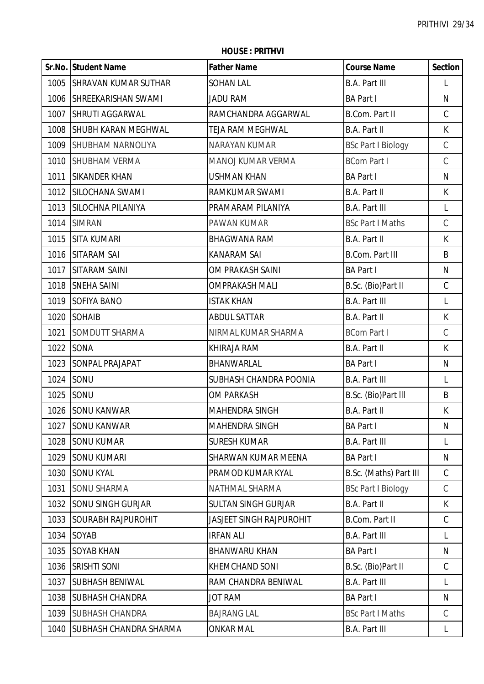|      | Sr.No. Student Name           | <b>Father Name</b>              | <b>Course Name</b>        | <b>Section</b> |
|------|-------------------------------|---------------------------------|---------------------------|----------------|
| 1005 | <b>SHRAVAN KUMAR SUTHAR</b>   | <b>SOHAN LAL</b>                | <b>B.A. Part III</b>      | L              |
| 1006 | <b>SHREEKARISHAN SWAMI</b>    | <b>JADU RAM</b>                 | <b>BA Part I</b>          | $\mathsf{N}$   |
| 1007 | <b>SHRUTI AGGARWAL</b>        | RAMCHANDRA AGGARWAL             | <b>B.Com. Part II</b>     | $\mathsf C$    |
| 1008 | <b>SHUBH KARAN MEGHWAL</b>    | TEJA RAM MEGHWAL                | <b>B.A. Part II</b>       | K              |
| 1009 | <b>SHUBHAM NARNOLIYA</b>      | <b>NARAYAN KUMAR</b>            | <b>BSc Part I Biology</b> | $\mathsf C$    |
| 1010 | SHUBHAM VERMA                 | MANOJ KUMAR VERMA               | <b>BCom Part I</b>        | $\mathcal{C}$  |
| 1011 | <b>SIKANDER KHAN</b>          | <b>USHMAN KHAN</b>              | <b>BA Part I</b>          | $\mathsf{N}$   |
| 1012 | <b>SILOCHANA SWAMI</b>        | RAMKUMAR SWAMI                  | <b>B.A. Part II</b>       | $\mathsf{K}$   |
| 1013 | <b>SILOCHNA PILANIYA</b>      | PRAMARAM PILANIYA               | <b>B.A. Part III</b>      | L              |
| 1014 | <b>SIMRAN</b>                 | PAWAN KUMAR                     | <b>BSc Part I Maths</b>   | $\mathsf C$    |
| 1015 | <b>SITA KUMARI</b>            | <b>BHAGWANA RAM</b>             | <b>B.A. Part II</b>       | $\mathsf{K}$   |
| 1016 | <b>SITARAM SAI</b>            | <b>KANARAM SAI</b>              | <b>B.Com. Part III</b>    | B              |
| 1017 | <b>SITARAM SAINI</b>          | OM PRAKASH SAINI                | <b>BA Part I</b>          | N              |
| 1018 | <b>SNEHA SAINI</b>            | <b>OMPRAKASH MALI</b>           | B.Sc. (Bio)Part II        | $\mathsf C$    |
| 1019 | <b>SOFIYA BANO</b>            | <b>ISTAK KHAN</b>               | <b>B.A. Part III</b>      | L              |
| 1020 | <b>SOHAIB</b>                 | <b>ABDUL SATTAR</b>             | <b>B.A. Part II</b>       | K              |
| 1021 | SOMDUTT SHARMA                | NIRMAL KUMAR SHARMA             | <b>BCom Part I</b>        | $\mathsf C$    |
|      | 1022 SONA                     | KHIRAJA RAM                     | <b>B.A. Part II</b>       | $\mathsf{K}$   |
| 1023 | <b>SONPAL PRAJAPAT</b>        | BHANWARLAL                      | <b>BA Part I</b>          | N              |
| 1024 | SONU                          | SUBHASH CHANDRA POONIA          | <b>B.A. Part III</b>      | L              |
| 1025 | SONU                          | <b>OM PARKASH</b>               | B.Sc. (Bio)Part III       | B              |
|      | 1026 SONU KANWAR              | <b>MAHENDRA SINGH</b>           | <b>B.A. Part II</b>       | К              |
| 1027 | <b>SONU KANWAR</b>            | MAHENDRA SINGH                  | <b>BA Part I</b>          | N              |
| 1028 | <b>SONU KUMAR</b>             | <b>SURESH KUMAR</b>             | <b>B.A. Part III</b>      | L              |
| 1029 | <b>SONU KUMARI</b>            | SHARWAN KUMAR MEENA             | <b>BA Part I</b>          | N              |
| 1030 | <b>SONU KYAL</b>              | PRAMOD KUMAR KYAL               | B.Sc. (Maths) Part III    | $\mathsf C$    |
| 1031 | <b>SONU SHARMA</b>            | NATHMAL SHARMA                  | <b>BSc Part I Biology</b> | $\mathsf C$    |
| 1032 | <b>SONU SINGH GURJAR</b>      | <b>SULTAN SINGH GURJAR</b>      | <b>B.A. Part II</b>       | K              |
| 1033 | <b>SOURABH RAJPUROHIT</b>     | <b>JASJEET SINGH RAJPUROHIT</b> | <b>B.Com. Part II</b>     | $\mathsf C$    |
| 1034 | SOYAB                         | <b>IRFAN ALI</b>                | <b>B.A. Part III</b>      | L              |
| 1035 | <b>SOYAB KHAN</b>             | <b>BHANWARU KHAN</b>            | <b>BA Part I</b>          | N              |
| 1036 | <b>SRISHTI SONI</b>           | <b>KHEMCHAND SONI</b>           | B.Sc. (Bio)Part II        | C              |
| 1037 | <b>SUBHASH BENIWAL</b>        | RAM CHANDRA BENIWAL             | <b>B.A. Part III</b>      | L              |
| 1038 | <b>SUBHASH CHANDRA</b>        | <b>JOT RAM</b>                  | <b>BA Part I</b>          | N              |
| 1039 | <b>SUBHASH CHANDRA</b>        | <b>BAJRANG LAL</b>              | <b>BSc Part I Maths</b>   | C              |
| 1040 | <b>SUBHASH CHANDRA SHARMA</b> | <b>ONKAR MAL</b>                | <b>B.A. Part III</b>      | L              |

**HOUSE : PRITHVI**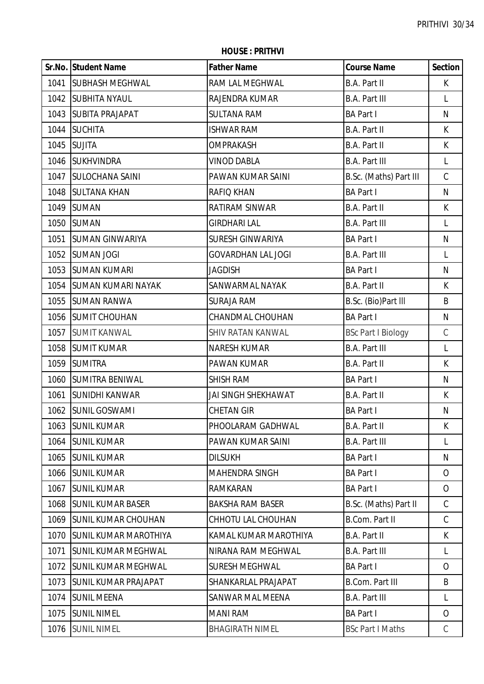|      | Sr.No. Student Name          | <b>Father Name</b>        | <b>Course Name</b>        | <b>Section</b> |
|------|------------------------------|---------------------------|---------------------------|----------------|
| 1041 | <b>SUBHASH MEGHWAL</b>       | RAM LAL MEGHWAL           | B.A. Part II              | K              |
|      | 1042 SUBHITA NYAUL           | RAJENDRA KUMAR            | <b>B.A. Part III</b>      | L              |
|      | 1043 SUBITA PRAJAPAT         | <b>SULTANA RAM</b>        | <b>BA Part I</b>          | N              |
| 1044 | <b>SUCHITA</b>               | <b>ISHWAR RAM</b>         | B.A. Part II              | K.             |
| 1045 | <b>SUJITA</b>                | OMPRAKASH                 | B.A. Part II              | K              |
| 1046 | <b>SUKHVINDRA</b>            | <b>VINOD DABLA</b>        | <b>B.A. Part III</b>      | L              |
| 1047 | <b>SULOCHANA SAINI</b>       | PAWAN KUMAR SAINI         | B.Sc. (Maths) Part III    | $\mathsf C$    |
|      | 1048 SULTANA KHAN            | <b>RAFIQ KHAN</b>         | <b>BA Part I</b>          | N              |
| 1049 | <b>SUMAN</b>                 | RATIRAM SINWAR            | B.A. Part II              | K              |
| 1050 | <b>SUMAN</b>                 | <b>GIRDHARI LAL</b>       | <b>B.A. Part III</b>      | L              |
| 1051 | <b>SUMAN GINWARIYA</b>       | SURESH GINWARIYA          | <b>BA Part I</b>          | $\mathsf{N}$   |
| 1052 | <b>SUMAN JOGI</b>            | <b>GOVARDHAN LAL JOGI</b> | <b>B.A. Part III</b>      | L              |
| 1053 | <b>SUMAN KUMARI</b>          | <b>JAGDISH</b>            | <b>BA Part I</b>          | $\mathsf{N}$   |
|      | 1054 SUMAN KUMARI NAYAK      | SANWARMAL NAYAK           | B.A. Part II              | K              |
| 1055 | <b>SUMAN RANWA</b>           | <b>SURAJA RAM</b>         | B.Sc. (Bio)Part III       | B              |
|      | 1056 SUMIT CHOUHAN           | CHANDMAL CHOUHAN          | <b>BA Part I</b>          | N              |
| 1057 | <b>SUMIT KANWAL</b>          | <b>SHIV RATAN KANWAL</b>  | <b>BSc Part I Biology</b> | $\mathsf C$    |
| 1058 | <b>SUMIT KUMAR</b>           | <b>NARESH KUMAR</b>       | <b>B.A. Part III</b>      | L              |
| 1059 | <b>SUMITRA</b>               | PAWAN KUMAR               | B.A. Part II              | $\mathsf{K}$   |
| 1060 | <b>SUMITRA BENIWAL</b>       | <b>SHISH RAM</b>          | <b>BA Part I</b>          | $\mathsf{N}$   |
| 1061 | <b>SUNIDHI KANWAR</b>        | JAI SINGH SHEKHAWAT       | <b>B.A. Part II</b>       | K              |
|      | 1062 SUNIL GOSWAMI           | <b>CHETAN GIR</b>         | <b>BA Part I</b>          | $\mathsf{N}$   |
|      | 1063 SUNIL KUMAR             | PHOOLARAM GADHWAL         | <b>B.A. Part II</b>       | K              |
| 1064 | <b>SUNIL KUMAR</b>           | PAWAN KUMAR SAINI         | <b>B.A. Part III</b>      | L              |
| 1065 | <b>SUNIL KUMAR</b>           | <b>DILSUKH</b>            | <b>BA Part I</b>          | N              |
| 1066 | <b>SUNIL KUMAR</b>           | <b>MAHENDRA SINGH</b>     | <b>BA Part I</b>          | $\overline{O}$ |
| 1067 | <b>SUNIL KUMAR</b>           | <b>RAMKARAN</b>           | <b>BA Part I</b>          | $\overline{O}$ |
| 1068 | <b>SUNIL KUMAR BASER</b>     | <b>BAKSHA RAM BASER</b>   | B.Sc. (Maths) Part II     | $\mathsf C$    |
| 1069 | <b>SUNIL KUMAR CHOUHAN</b>   | CHHOTU LAL CHOUHAN        | <b>B.Com. Part II</b>     | $\mathsf{C}$   |
| 1070 | <b>SUNIL KUMAR MAROTHIYA</b> | KAMAL KUMAR MAROTHIYA     | B.A. Part II              | K              |
| 1071 | <b>SUNIL KUMAR MEGHWAL</b>   | NIRANA RAM MEGHWAL        | <b>B.A. Part III</b>      | L              |
| 1072 | <b>SUNIL KUMAR MEGHWAL</b>   | <b>SURESH MEGHWAL</b>     | <b>BA Part I</b>          | $\overline{O}$ |
| 1073 | <b>SUNIL KUMAR PRAJAPAT</b>  | SHANKARLAL PRAJAPAT       | <b>B.Com. Part III</b>    | B              |
| 1074 | <b>SUNIL MEENA</b>           | <b>SANWAR MAL MEENA</b>   | <b>B.A. Part III</b>      | L              |
| 1075 | <b>SUNIL NIMEL</b>           | <b>MANI RAM</b>           | <b>BA Part I</b>          | 0              |
| 1076 | <b>SUNIL NIMEL</b>           | <b>BHAGIRATH NIMEL</b>    | <b>BSc Part I Maths</b>   | C              |

**HOUSE : PRITHVI**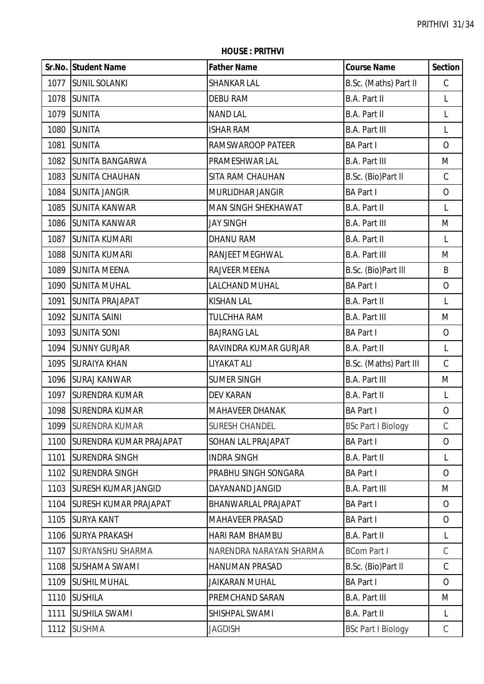**HOUSE : PRITHVI**

|      | Sr.No. Student Name            | <b>Father Name</b>      | <b>Course Name</b>        | <b>Section</b> |
|------|--------------------------------|-------------------------|---------------------------|----------------|
| 1077 | <b>SUNIL SOLANKI</b>           | <b>SHANKAR LAL</b>      | B.Sc. (Maths) Part II     | $\mathsf C$    |
| 1078 | <b>SUNITA</b>                  | <b>DEBU RAM</b>         | <b>B.A. Part II</b>       | L              |
| 1079 | <b>SUNITA</b>                  | <b>NAND LAL</b>         | B.A. Part II              | L              |
| 1080 | <b>SUNITA</b>                  | <b>ISHAR RAM</b>        | <b>B.A. Part III</b>      | L              |
| 1081 | <b>SUNITA</b>                  | RAMSWAROOP PATEER       | <b>BA Part I</b>          | $\overline{O}$ |
| 1082 | <b>SUNITA BANGARWA</b>         | PRAMESHWAR LAL          | <b>B.A. Part III</b>      | M              |
| 1083 | <b>SUNITA CHAUHAN</b>          | SITA RAM CHAUHAN        | B.Sc. (Bio)Part II        | C              |
| 1084 | <b>SUNITA JANGIR</b>           | MURLIDHAR JANGIR        | <b>BA Part I</b>          | $\overline{O}$ |
| 1085 | <b>SUNITA KANWAR</b>           | MAN SINGH SHEKHAWAT     | <b>B.A. Part II</b>       | L              |
| 1086 | <b>SUNITA KANWAR</b>           | <b>JAY SINGH</b>        | <b>B.A. Part III</b>      | M              |
| 1087 | <b>SUNITA KUMARI</b>           | DHANU RAM               | <b>B.A. Part II</b>       | L              |
| 1088 | <b>SUNITA KUMARI</b>           | RANJEET MEGHWAL         | <b>B.A. Part III</b>      | M              |
| 1089 | <b>SUNITA MEENA</b>            | RAJVEER MEENA           | B.Sc. (Bio)Part III       | B              |
| 1090 | <b>SUNITA MUHAL</b>            | LALCHAND MUHAL          | <b>BA Part I</b>          | $\overline{O}$ |
| 1091 | <b>SUNITA PRAJAPAT</b>         | <b>KISHAN LAL</b>       | B.A. Part II              | L              |
| 1092 | <b>SUNITA SAINI</b>            | <b>TULCHHA RAM</b>      | <b>B.A. Part III</b>      | M              |
| 1093 | <b>SUNITA SONI</b>             | <b>BAJRANG LAL</b>      | <b>BA Part I</b>          | $\overline{O}$ |
| 1094 | <b>SUNNY GURJAR</b>            | RAVINDRA KUMAR GURJAR   | <b>B.A. Part II</b>       | L              |
| 1095 | <b>SURAIYA KHAN</b>            | LIYAKAT ALI             | B.Sc. (Maths) Part III    | C              |
| 1096 | <b>SURAJ KANWAR</b>            | <b>SUMER SINGH</b>      | <b>B.A. Part III</b>      | M              |
| 1097 | <b>SURENDRA KUMAR</b>          | <b>DEV KARAN</b>        | <b>B.A. Part II</b>       | L              |
| 1098 | <b>SURENDRA KUMAR</b>          | <b>MAHAVEER DHANAK</b>  | <b>BA Part I</b>          | $\mathbf{O}$   |
| 1099 | <b>SURENDRA KUMAR</b>          | <b>SURESH CHANDEL</b>   | <b>BSc Part I Biology</b> | C              |
| 1100 | <b>SURENDRA KUMAR PRAJAPAT</b> | SOHAN LAL PRAJAPAT      | <b>BA Part I</b>          | $\overline{O}$ |
| 1101 | <b>SURENDRA SINGH</b>          | <b>INDRA SINGH</b>      | B.A. Part II              | L              |
| 1102 | <b>SURENDRA SINGH</b>          | PRABHU SINGH SONGARA    | <b>BA Part I</b>          | $\overline{O}$ |
| 1103 | <b>SURESH KUMAR JANGID</b>     | DAYANAND JANGID         | <b>B.A. Part III</b>      | M              |
| 1104 | <b>ISURESH KUMAR PRAJAPAT</b>  | BHANWARLAL PRAJAPAT     | <b>BA Part I</b>          | $\overline{O}$ |
| 1105 | <b>SURYA KANT</b>              | MAHAVEER PRASAD         | <b>BA Part I</b>          | $\overline{O}$ |
| 1106 | <b>SURYA PRAKASH</b>           | HARI RAM BHAMBU         | B.A. Part II              | L              |
| 1107 | <b>SURYANSHU SHARMA</b>        | NARENDRA NARAYAN SHARMA | <b>BCom Part I</b>        | $\mathcal{C}$  |
| 1108 | <b>SUSHAMA SWAMI</b>           | <b>HANUMAN PRASAD</b>   | B.Sc. (Bio)Part II        | C              |
| 1109 | <b>SUSHIL MUHAL</b>            | <b>JAIKARAN MUHAL</b>   | <b>BA Part I</b>          | $\overline{O}$ |
| 1110 | <b>SUSHILA</b>                 | PREMCHAND SARAN         | <b>B.A. Part III</b>      | M              |
| 1111 | <b>SUSHILA SWAMI</b>           | SHISHPAL SWAMI          | <b>B.A. Part II</b>       | L              |
| 1112 | <b>SUSHMA</b>                  | <b>JAGDISH</b>          | <b>BSc Part I Biology</b> | C              |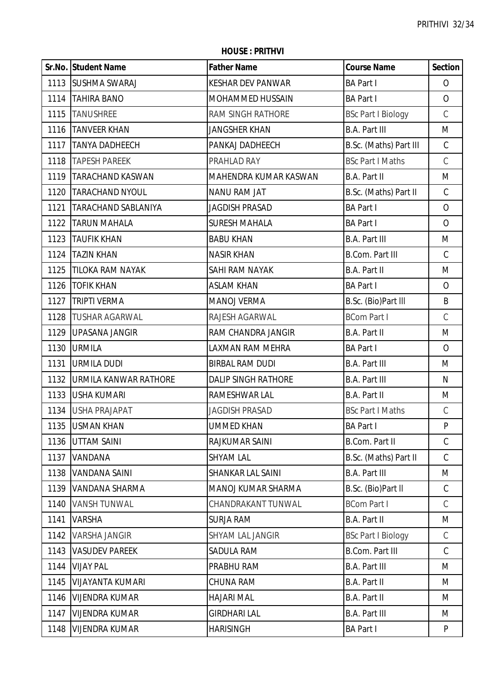|      | Sr.No. Student Name     | <b>Father Name</b>           | <b>Course Name</b>        | <b>Section</b> |
|------|-------------------------|------------------------------|---------------------------|----------------|
|      | 1113 SUSHMA SWARAJ      | <b>KESHAR DEV PANWAR</b>     | <b>BA Part I</b>          | $\overline{O}$ |
|      | 1114 TAHIRA BANO        | <b>MOHAMMED HUSSAIN</b>      | <b>BA Part I</b>          | $\overline{O}$ |
|      | 1115 TANUSHREE          | RAM SINGH RATHORE            | <b>BSc Part I Biology</b> | $\mathsf C$    |
| 1116 | <b>TANVEER KHAN</b>     | <b>JANGSHER KHAN</b>         | <b>B.A. Part III</b>      | M              |
| 1117 | <b>TANYA DADHEECH</b>   | PANKAJ DADHEECH              | B.Sc. (Maths) Part III    | $\mathsf C$    |
| 1118 | <b>TAPESH PAREEK</b>    | PRAHLAD RAY                  | <b>BSc Part I Maths</b>   | $\mathcal{C}$  |
| 1119 | <b>TARACHAND KASWAN</b> | <b>MAHENDRA KUMAR KASWAN</b> | B.A. Part II              | M              |
|      | 1120   TARACHAND NYOUL  | <b>NANU RAM JAT</b>          | B.Sc. (Maths) Part II     | $\mathsf C$    |
| 1121 | TARACHAND SABLANIYA     | <b>JAGDISH PRASAD</b>        | <b>BA Part I</b>          | $\overline{O}$ |
| 1122 | <b>TARUN MAHALA</b>     | <b>SURESH MAHALA</b>         | <b>BA Part I</b>          | $\overline{O}$ |
| 1123 | <b>TAUFIK KHAN</b>      | <b>BABU KHAN</b>             | <b>B.A. Part III</b>      | M              |
| 1124 | <b>TAZIN KHAN</b>       | <b>NASIR KHAN</b>            | <b>B.Com. Part III</b>    | $\mathsf C$    |
| 1125 | <b>TILOKA RAM NAYAK</b> | SAHI RAM NAYAK               | B.A. Part II              | M              |
| 1126 | <b>TOFIK KHAN</b>       | <b>ASLAM KHAN</b>            | <b>BA Part I</b>          | $\overline{O}$ |
| 1127 | <b>TRIPTI VERMA</b>     | <b>MANOJ VERMA</b>           | B.Sc. (Bio)Part III       | B              |
| 1128 | <b>TUSHAR AGARWAL</b>   | RAJESH AGARWAL               | <b>BCom Part I</b>        | $\mathsf C$    |
| 1129 | <b>UPASANA JANGIR</b>   | RAM CHANDRA JANGIR           | B.A. Part II              | M              |
|      | 1130 URMILA             | LAXMAN RAM MEHRA             | <b>BA Part I</b>          | $\overline{O}$ |
| 1131 | <b>URMILA DUDI</b>      | <b>BIRBAL RAM DUDI</b>       | <b>B.A. Part III</b>      | M              |
| 1132 | URMILA KANWAR RATHORE   | <b>DALIP SINGH RATHORE</b>   | <b>B.A. Part III</b>      | N              |
|      | 1133 USHA KUMARI        | RAMESHWAR LAL                | B.A. Part II              | M              |
|      | 1134 USHA PRAJAPAT      | <b>JAGDISH PRASAD</b>        | <b>BSc Part I Maths</b>   | $\mathcal{C}$  |
|      | 1135 USMAN KHAN         | <b>UMMED KHAN</b>            | <b>BA Part I</b>          | P              |
| 1136 | <b>UTTAM SAINI</b>      | RAJKUMAR SAINI               | <b>B.Com. Part II</b>     | $\mathsf C$    |
| 1137 | VANDANA                 | <b>SHYAM LAL</b>             | B.Sc. (Maths) Part II     | $\mathsf C$    |
| 1138 | <b>VANDANA SAINI</b>    | SHANKAR LAL SAINI            | <b>B.A. Part III</b>      | M              |
| 1139 | VANDANA SHARMA          | MANOJ KUMAR SHARMA           | B.Sc. (Bio)Part II        | $\mathsf C$    |
| 1140 | <b>VANSH TUNWAL</b>     | CHANDRAKANT TUNWAL           | <b>BCom Part I</b>        | C              |
| 1141 | <b>VARSHA</b>           | <b>SURJA RAM</b>             | <b>B.A. Part II</b>       | M              |
| 1142 | <b>VARSHA JANGIR</b>    | SHYAM LAL JANGIR             | <b>BSc Part I Biology</b> | C              |
| 1143 | <b>VASUDEV PAREEK</b>   | SADULA RAM                   | <b>B.Com. Part III</b>    | C              |
| 1144 | <b>VIJAY PAL</b>        | PRABHU RAM                   | <b>B.A. Part III</b>      | M              |
| 1145 | <b>VIJAYANTA KUMARI</b> | <b>CHUNA RAM</b>             | B.A. Part II              | M              |
| 1146 | <b>VIJENDRA KUMAR</b>   | <b>HAJARI MAL</b>            | <b>B.A. Part II</b>       | M              |
| 1147 | <b>VIJENDRA KUMAR</b>   | <b>GIRDHARI LAL</b>          | <b>B.A. Part III</b>      | M              |
| 1148 | <b>VIJENDRA KUMAR</b>   | <b>HARISINGH</b>             | <b>BA Part I</b>          | P              |

**HOUSE : PRITHVI**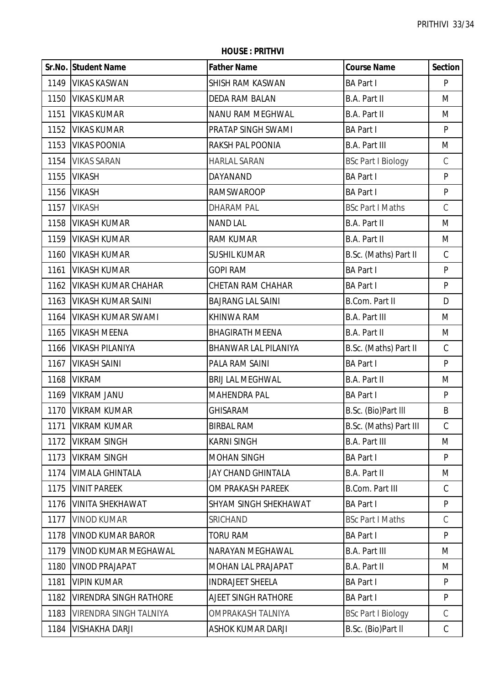|      | Sr.No. Student Name           | <b>Father Name</b>          | <b>Course Name</b>        | <b>Section</b> |
|------|-------------------------------|-----------------------------|---------------------------|----------------|
|      | 1149   VIKAS KASWAN           | SHISH RAM KASWAN            | <b>BA Part I</b>          | P              |
| 1150 | <b>VIKAS KUMAR</b>            | <b>DEDA RAM BALAN</b>       | <b>B.A. Part II</b>       | M              |
| 1151 | <b>VIKAS KUMAR</b>            | NANU RAM MEGHWAL            | <b>B.A. Part II</b>       | M              |
| 1152 | <b>VIKAS KUMAR</b>            | <b>PRATAP SINGH SWAMI</b>   | <b>BA Part I</b>          | P              |
| 1153 | <b>VIKAS POONIA</b>           | <b>RAKSH PAL POONIA</b>     | <b>B.A. Part III</b>      | M              |
|      | 1154 VIKAS SARAN              | <b>HARLAL SARAN</b>         | <b>BSc Part I Biology</b> | $\mathcal{C}$  |
| 1155 | <b>VIKASH</b>                 | DAYANAND                    | <b>BA Part I</b>          | P              |
| 1156 | <b>VIKASH</b>                 | <b>RAMSWAROOP</b>           | <b>BA Part I</b>          | P              |
| 1157 | <b>VIKASH</b>                 | <b>DHARAM PAL</b>           | <b>BSc Part I Maths</b>   | $\mathcal{C}$  |
| 1158 | <b>VIKASH KUMAR</b>           | <b>NAND LAL</b>             | B.A. Part II              | M              |
| 1159 | <b>VIKASH KUMAR</b>           | <b>RAM KUMAR</b>            | B.A. Part II              | M              |
| 1160 | <b>VIKASH KUMAR</b>           | <b>SUSHIL KUMAR</b>         | B.Sc. (Maths) Part II     | $\mathsf C$    |
| 1161 | <b>VIKASH KUMAR</b>           | <b>GOPI RAM</b>             | <b>BA Part I</b>          | P              |
| 1162 | <b>VIKASH KUMAR CHAHAR</b>    | <b>CHETAN RAM CHAHAR</b>    | <b>BA Part I</b>          | P              |
| 1163 | <b>VIKASH KUMAR SAINI</b>     | <b>BAJRANG LAL SAINI</b>    | <b>B.Com. Part II</b>     | D              |
| 1164 | <b>VIKASH KUMAR SWAMI</b>     | KHINWA RAM                  | <b>B.A. Part III</b>      | M              |
| 1165 | <b>VIKASH MEENA</b>           | <b>BHAGIRATH MEENA</b>      | B.A. Part II              | M              |
| 1166 | <b>VIKASH PILANIYA</b>        | <b>BHANWAR LAL PILANIYA</b> | B.Sc. (Maths) Part II     | $\mathsf C$    |
| 1167 | <b>VIKASH SAINI</b>           | PALA RAM SAINI              | <b>BA Part I</b>          | $\mathsf{P}$   |
| 1168 | <b>VIKRAM</b>                 | <b>BRIJ LAL MEGHWAL</b>     | B.A. Part II              | M              |
| 1169 | <b>VIKRAM JANU</b>            | <b>MAHENDRA PAL</b>         | <b>BA Part I</b>          | P              |
|      | 1170   VIKRAM KUMAR           | <b>GHISARAM</b>             | B.Sc. (Bio)Part III       | B              |
| 1171 | <b>VIKRAM KUMAR</b>           | <b>BIRBAL RAM</b>           | B.Sc. (Maths) Part III    | C.             |
| 1172 | <b>VIKRAM SINGH</b>           | <b>KARNI SINGH</b>          | <b>B.A. Part III</b>      | M              |
| 1173 | <b>VIKRAM SINGH</b>           | <b>MOHAN SINGH</b>          | <b>BA Part I</b>          | P              |
| 1174 | <b>VIMALA GHINTALA</b>        | <b>JAY CHAND GHINTALA</b>   | B.A. Part II              | M              |
| 1175 | <b>VINIT PAREEK</b>           | OM PRAKASH PAREEK           | <b>B.Com. Part III</b>    | $\mathsf{C}$   |
| 1176 | <b>VINITA SHEKHAWAT</b>       | SHYAM SINGH SHEKHAWAT       | <b>BA Part I</b>          | P              |
| 1177 | <b>VINOD KUMAR</b>            | SRICHAND                    | <b>BSc Part I Maths</b>   | $\mathcal{C}$  |
| 1178 | <b>VINOD KUMAR BAROR</b>      | <b>TORU RAM</b>             | <b>BA Part I</b>          | P              |
| 1179 | <b>VINOD KUMAR MEGHAWAL</b>   | NARAYAN MEGHAWAL            | <b>B.A. Part III</b>      | M              |
| 1180 | <b>VINOD PRAJAPAT</b>         | MOHAN LAL PRAJAPAT          | B.A. Part II              | M              |
| 1181 | <b>VIPIN KUMAR</b>            | <b>INDRAJEET SHEELA</b>     | <b>BA Part I</b>          | P              |
| 1182 | <b>VIRENDRA SINGH RATHORE</b> | <b>AJEET SINGH RATHORE</b>  | <b>BA Part I</b>          | P              |
| 1183 | VIRENDRA SINGH TALNIYA        | OMPRAKASH TALNIYA           | <b>BSc Part I Biology</b> | $\mathsf C$    |
| 1184 | <b>VISHAKHA DARJI</b>         | ASHOK KUMAR DARJI           | B.Sc. (Bio)Part II        | $\mathsf C$    |

**HOUSE : PRITHVI**